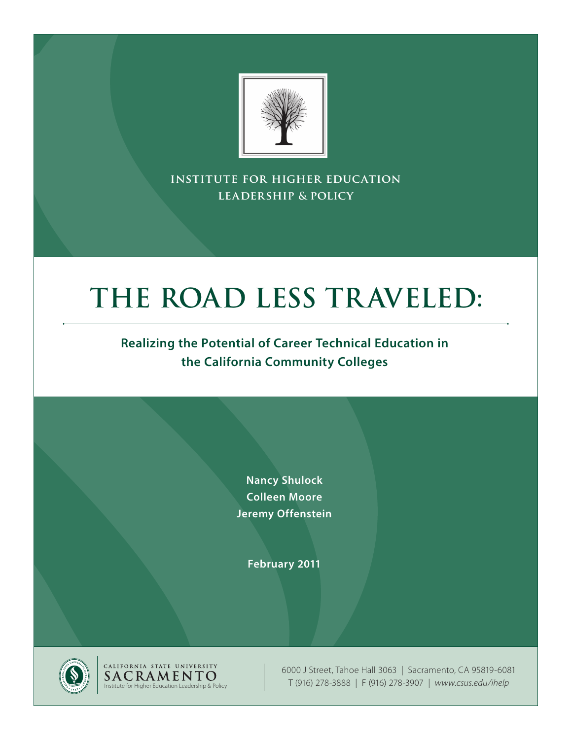

**institute for higher education leadership & policy**

# **THE ROAD LESS TRAVELED:**

## **Realizing the Potential of Career Technical Education in the California Community Colleges**

**Nancy Shulock Colleen Moore Jeremy Offenstein**

**February 2011**



CALIFORNIA STATE UNIVERSITY<br>SACRAMENTO Institute for Higher Education Leadership & Policy

6000 J Street, Tahoe Hall 3063 | Sacramento, CA 95819-6081 T (916) 278-3888 | F (916) 278-3907 | *www.csus.edu/ihelp*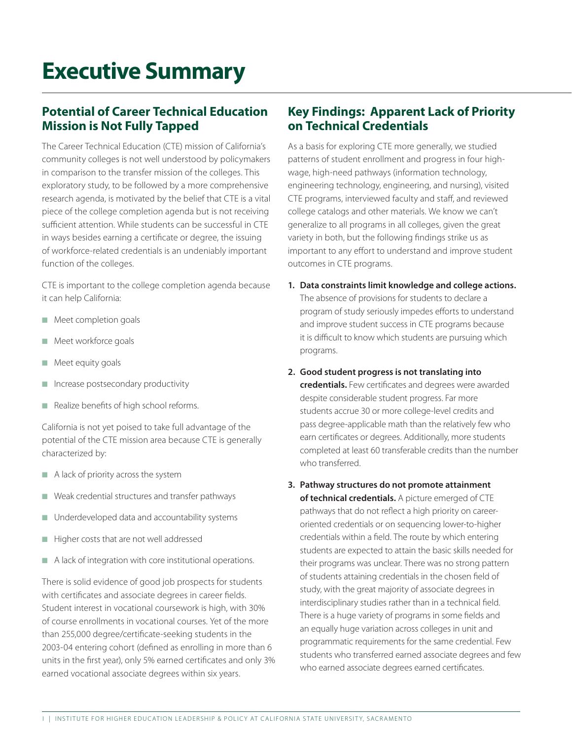## **Executive Summary**

## **Potential of Career Technical Education Mission is Not Fully Tapped**

The Career Technical Education (CTE) mission of California's community colleges is not well understood by policymakers in comparison to the transfer mission of the colleges. This exploratory study, to be followed by a more comprehensive research agenda, is motivated by the belief that CTE is a vital piece of the college completion agenda but is not receiving sufficient attention. While students can be successful in CTE in ways besides earning a certificate or degree, the issuing of workforce-related credentials is an undeniably important function of the colleges.

CTE is important to the college completion agenda because it can help California:

- $\blacksquare$  Meet completion goals
- $\blacksquare$  Meet workforce goals
- $\blacksquare$  Meet equity goals
- Increase postsecondary productivity
- Realize benefits of high school reforms.

California is not yet poised to take full advantage of the potential of the CTE mission area because CTE is generally characterized by:

- $\blacksquare$  A lack of priority across the system
- $\blacksquare$  Weak credential structures and transfer pathways
- Underdeveloped data and accountability systems
- **n** Higher costs that are not well addressed
- $\blacksquare$  A lack of integration with core institutional operations.

There is solid evidence of good job prospects for students with certificates and associate degrees in career fields. Student interest in vocational coursework is high, with 30% of course enrollments in vocational courses. Yet of the more than 255,000 degree/certificate-seeking students in the 2003-04 entering cohort (defined as enrolling in more than 6 units in the first year), only 5% earned certificates and only 3% earned vocational associate degrees within six years.

## **Key Findings: Apparent Lack of Priority on Technical Credentials**

As a basis for exploring CTE more generally, we studied patterns of student enrollment and progress in four highwage, high-need pathways (information technology, engineering technology, engineering, and nursing), visited CTE programs, interviewed faculty and staff, and reviewed college catalogs and other materials. We know we can't generalize to all programs in all colleges, given the great variety in both, but the following findings strike us as important to any effort to understand and improve student outcomes in CTE programs.

- **1. Data constraints limit knowledge and college actions.**  The absence of provisions for students to declare a program of study seriously impedes efforts to understand and improve student success in CTE programs because it is difficult to know which students are pursuing which programs.
- **2. Good student progress is not translating into credentials.** Few certificates and degrees were awarded despite considerable student progress. Far more students accrue 30 or more college-level credits and pass degree-applicable math than the relatively few who earn certificates or degrees. Additionally, more students completed at least 60 transferable credits than the number who transferred.
- **3. Pathway structures do not promote attainment of technical credentials.** A picture emerged of CTE pathways that do not reflect a high priority on careeroriented credentials or on sequencing lower-to-higher credentials within a field. The route by which entering students are expected to attain the basic skills needed for their programs was unclear. There was no strong pattern of students attaining credentials in the chosen field of study, with the great majority of associate degrees in interdisciplinary studies rather than in a technical field. There is a huge variety of programs in some fields and an equally huge variation across colleges in unit and programmatic requirements for the same credential. Few students who transferred earned associate degrees and few who earned associate degrees earned certificates.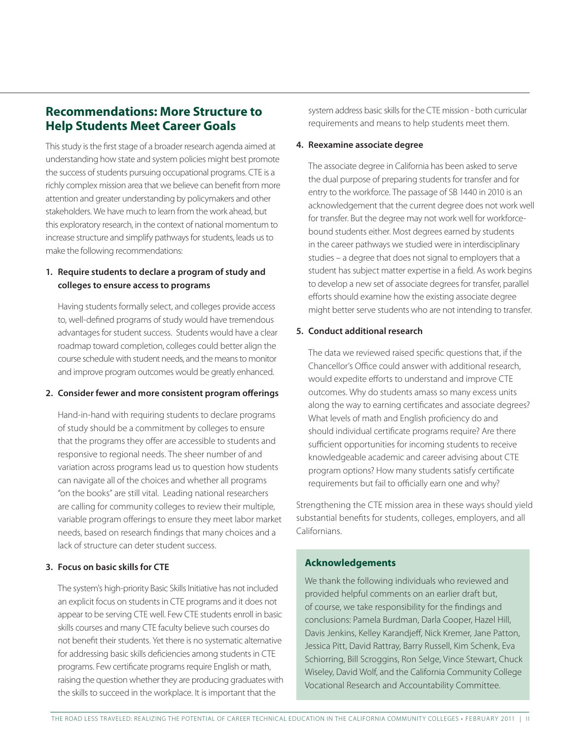## **Recommendations: More Structure to Help Students Meet Career Goals**

This study is the first stage of a broader research agenda aimed at understanding how state and system policies might best promote the success of students pursuing occupational programs. CTE is a richly complex mission area that we believe can benefit from more attention and greater understanding by policymakers and other stakeholders. We have much to learn from the work ahead, but this exploratory research, in the context of national momentum to increase structure and simplify pathways for students, leads us to make the following recommendations:

#### **1. Require students to declare a program of study and colleges to ensure access to programs**

Having students formally select, and colleges provide access to, well-defined programs of study would have tremendous advantages for student success. Students would have a clear roadmap toward completion, colleges could better align the course schedule with student needs, and the means to monitor and improve program outcomes would be greatly enhanced.

#### **2. Consider fewer and more consistent program offerings**

Hand-in-hand with requiring students to declare programs of study should be a commitment by colleges to ensure that the programs they offer are accessible to students and responsive to regional needs. The sheer number of and variation across programs lead us to question how students can navigate all of the choices and whether all programs "on the books" are still vital. Leading national researchers are calling for community colleges to review their multiple, variable program offerings to ensure they meet labor market needs, based on research findings that many choices and a lack of structure can deter student success.

#### **3. Focus on basic skills for CTE**

The system's high-priority Basic Skills Initiative has not included an explicit focus on students in CTE programs and it does not appear to be serving CTE well. Few CTE students enroll in basic skills courses and many CTE faculty believe such courses do not benefit their students. Yet there is no systematic alternative for addressing basic skills deficiencies among students in CTE programs. Few certificate programs require English or math, raising the question whether they are producing graduates with the skills to succeed in the workplace. It is important that the

system address basic skills for the CTE mission - both curricular requirements and means to help students meet them.

#### **4. Reexamine associate degree**

The associate degree in California has been asked to serve the dual purpose of preparing students for transfer and for entry to the workforce. The passage of SB 1440 in 2010 is an acknowledgement that the current degree does not work well for transfer. But the degree may not work well for workforcebound students either. Most degrees earned by students in the career pathways we studied were in interdisciplinary studies – a degree that does not signal to employers that a student has subject matter expertise in a field. As work begins to develop a new set of associate degrees for transfer, parallel efforts should examine how the existing associate degree might better serve students who are not intending to transfer.

#### **5. Conduct additional research**

The data we reviewed raised specific questions that, if the Chancellor's Office could answer with additional research, would expedite efforts to understand and improve CTE outcomes. Why do students amass so many excess units along the way to earning certificates and associate degrees? What levels of math and English proficiency do and should individual certificate programs require? Are there sufficient opportunities for incoming students to receive knowledgeable academic and career advising about CTE program options? How many students satisfy certificate requirements but fail to officially earn one and why?

Strengthening the CTE mission area in these ways should yield substantial benefits for students, colleges, employers, and all Californians.

#### **Acknowledgements**

We thank the following individuals who reviewed and provided helpful comments on an earlier draft but, of course, we take responsibility for the findings and conclusions: Pamela Burdman, Darla Cooper, Hazel Hill, Davis Jenkins, Kelley Karandjeff, Nick Kremer, Jane Patton, Jessica Pitt, David Rattray, Barry Russell, Kim Schenk, Eva Schiorring, Bill Scroggins, Ron Selge, Vince Stewart, Chuck Wiseley, David Wolf, and the California Community College Vocational Research and Accountability Committee.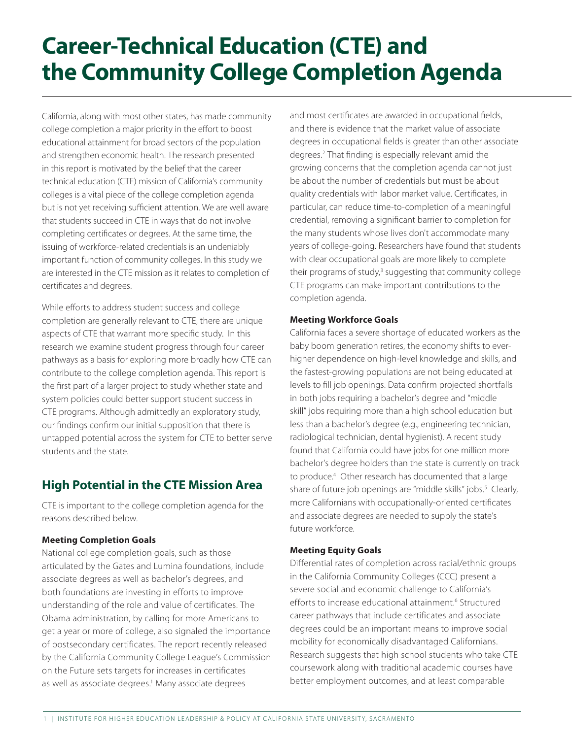# **Career-Technical Education (CTE) and the Community College Completion Agenda**

California, along with most other states, has made community college completion a major priority in the effort to boost educational attainment for broad sectors of the population and strengthen economic health. The research presented in this report is motivated by the belief that the career technical education (CTE) mission of California's community colleges is a vital piece of the college completion agenda but is not yet receiving sufficient attention. We are well aware that students succeed in CTE in ways that do not involve completing certificates or degrees. At the same time, the issuing of workforce-related credentials is an undeniably important function of community colleges. In this study we are interested in the CTE mission as it relates to completion of certificates and degrees.

While efforts to address student success and college completion are generally relevant to CTE, there are unique aspects of CTE that warrant more specific study. In this research we examine student progress through four career pathways as a basis for exploring more broadly how CTE can contribute to the college completion agenda. This report is the first part of a larger project to study whether state and system policies could better support student success in CTE programs. Although admittedly an exploratory study, our findings confirm our initial supposition that there is untapped potential across the system for CTE to better serve students and the state.

## **High Potential in the CTE Mission Area**

CTE is important to the college completion agenda for the reasons described below.

#### **Meeting Completion Goals**

National college completion goals, such as those articulated by the Gates and Lumina foundations, include associate degrees as well as bachelor's degrees, and both foundations are investing in efforts to improve understanding of the role and value of certificates. The Obama administration, by calling for more Americans to get a year or more of college, also signaled the importance of postsecondary certificates. The report recently released by the California Community College League's Commission on the Future sets targets for increases in certificates as well as associate degrees.<sup>1</sup> Many associate degrees

and most certificates are awarded in occupational fields, and there is evidence that the market value of associate degrees in occupational fields is greater than other associate degrees.2 That finding is especially relevant amid the growing concerns that the completion agenda cannot just be about the number of credentials but must be about quality credentials with labor market value. Certificates, in particular, can reduce time-to-completion of a meaningful credential, removing a significant barrier to completion for the many students whose lives don't accommodate many years of college-going. Researchers have found that students with clear occupational goals are more likely to complete their programs of study,<sup>3</sup> suggesting that community college CTE programs can make important contributions to the completion agenda.

#### **Meeting Workforce Goals**

California faces a severe shortage of educated workers as the baby boom generation retires, the economy shifts to everhigher dependence on high-level knowledge and skills, and the fastest-growing populations are not being educated at levels to fill job openings. Data confirm projected shortfalls in both jobs requiring a bachelor's degree and "middle skill" jobs requiring more than a high school education but less than a bachelor's degree (e.g., engineering technician, radiological technician, dental hygienist). A recent study found that California could have jobs for one million more bachelor's degree holders than the state is currently on track to produce.<sup>4</sup> Other research has documented that a large share of future job openings are "middle skills" jobs.<sup>5</sup> Clearly, more Californians with occupationally-oriented certificates and associate degrees are needed to supply the state's future workforce.

#### **Meeting Equity Goals**

Differential rates of completion across racial/ethnic groups in the California Community Colleges (CCC) present a severe social and economic challenge to California's efforts to increase educational attainment.<sup>6</sup> Structured career pathways that include certificates and associate degrees could be an important means to improve social mobility for economically disadvantaged Californians. Research suggests that high school students who take CTE coursework along with traditional academic courses have better employment outcomes, and at least comparable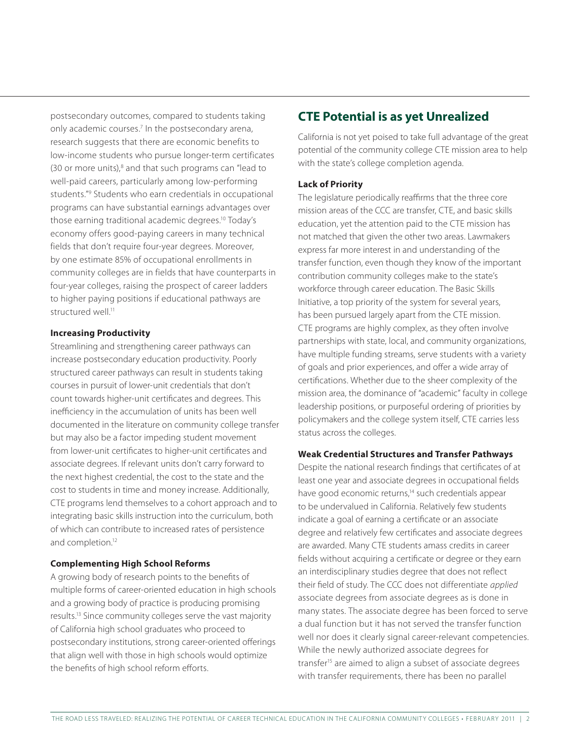postsecondary outcomes, compared to students taking only academic courses.<sup>7</sup> In the postsecondary arena, research suggests that there are economic benefits to low-income students who pursue longer-term certificates (30 or more units),<sup>8</sup> and that such programs can "lead to well-paid careers, particularly among low-performing students."<sup>9</sup> Students who earn credentials in occupational programs can have substantial earnings advantages over those earning traditional academic degrees.10 Today's economy offers good-paying careers in many technical fields that don't require four-year degrees. Moreover, by one estimate 85% of occupational enrollments in community colleges are in fields that have counterparts in four-year colleges, raising the prospect of career ladders to higher paying positions if educational pathways are structured well.<sup>11</sup>

#### **Increasing Productivity**

Streamlining and strengthening career pathways can increase postsecondary education productivity. Poorly structured career pathways can result in students taking courses in pursuit of lower-unit credentials that don't count towards higher-unit certificates and degrees. This inefficiency in the accumulation of units has been well documented in the literature on community college transfer but may also be a factor impeding student movement from lower-unit certificates to higher-unit certificates and associate degrees. If relevant units don't carry forward to the next highest credential, the cost to the state and the cost to students in time and money increase. Additionally, CTE programs lend themselves to a cohort approach and to integrating basic skills instruction into the curriculum, both of which can contribute to increased rates of persistence and completion.12

#### **Complementing High School Reforms**

A growing body of research points to the benefits of multiple forms of career-oriented education in high schools and a growing body of practice is producing promising results.13 Since community colleges serve the vast majority of California high school graduates who proceed to postsecondary institutions, strong career-oriented offerings that align well with those in high schools would optimize the benefits of high school reform efforts.

## **CTE Potential is as yet Unrealized**

California is not yet poised to take full advantage of the great potential of the community college CTE mission area to help with the state's college completion agenda.

#### **Lack of Priority**

The legislature periodically reaffirms that the three core mission areas of the CCC are transfer, CTE, and basic skills education, yet the attention paid to the CTE mission has not matched that given the other two areas. Lawmakers express far more interest in and understanding of the transfer function, even though they know of the important contribution community colleges make to the state's workforce through career education. The Basic Skills Initiative, a top priority of the system for several years, has been pursued largely apart from the CTE mission. CTE programs are highly complex, as they often involve partnerships with state, local, and community organizations, have multiple funding streams, serve students with a variety of goals and prior experiences, and offer a wide array of certifications. Whether due to the sheer complexity of the mission area, the dominance of "academic" faculty in college leadership positions, or purposeful ordering of priorities by policymakers and the college system itself, CTE carries less status across the colleges.

#### **Weak Credential Structures and Transfer Pathways**

Despite the national research findings that certificates of at least one year and associate degrees in occupational fields have good economic returns,<sup>14</sup> such credentials appear to be undervalued in California. Relatively few students indicate a goal of earning a certificate or an associate degree and relatively few certificates and associate degrees are awarded. Many CTE students amass credits in career fields without acquiring a certificate or degree or they earn an interdisciplinary studies degree that does not reflect their field of study. The CCC does not differentiate *applied* associate degrees from associate degrees as is done in many states. The associate degree has been forced to serve a dual function but it has not served the transfer function well nor does it clearly signal career-relevant competencies. While the newly authorized associate degrees for transfer<sup>15</sup> are aimed to align a subset of associate degrees with transfer requirements, there has been no parallel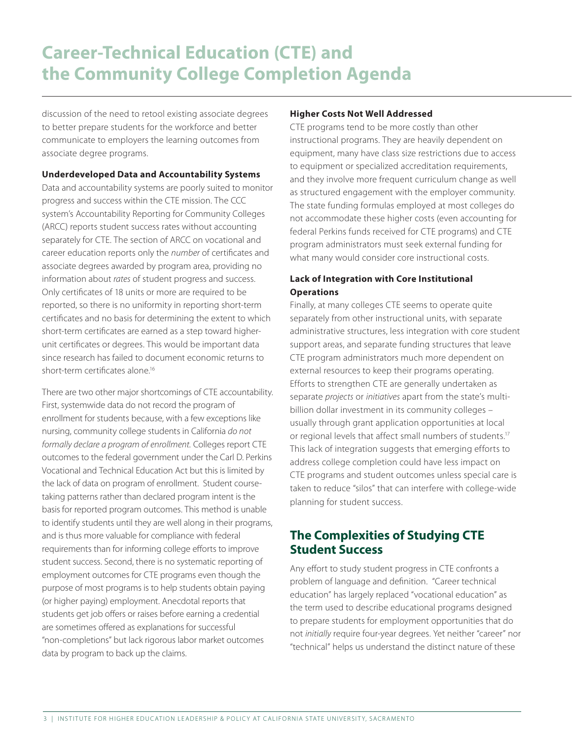## **Career-Technical Education (CTE) and the Community College Completion Agenda**

discussion of the need to retool existing associate degrees to better prepare students for the workforce and better communicate to employers the learning outcomes from associate degree programs.

#### **Underdeveloped Data and Accountability Systems**

Data and accountability systems are poorly suited to monitor progress and success within the CTE mission. The CCC system's Accountability Reporting for Community Colleges (ARCC) reports student success rates without accounting separately for CTE. The section of ARCC on vocational and career education reports only the *number* of certificates and associate degrees awarded by program area, providing no information about *rates* of student progress and success. Only certificates of 18 units or more are required to be reported, so there is no uniformity in reporting short-term certificates and no basis for determining the extent to which short-term certificates are earned as a step toward higherunit certificates or degrees. This would be important data since research has failed to document economic returns to short-term certificates alone.<sup>16</sup>

There are two other major shortcomings of CTE accountability. First, systemwide data do not record the program of enrollment for students because, with a few exceptions like nursing, community college students in California *do not formally declare a program of enrollment.* Colleges report CTE outcomes to the federal government under the Carl D. Perkins Vocational and Technical Education Act but this is limited by the lack of data on program of enrollment. Student coursetaking patterns rather than declared program intent is the basis for reported program outcomes. This method is unable to identify students until they are well along in their programs, and is thus more valuable for compliance with federal requirements than for informing college efforts to improve student success. Second, there is no systematic reporting of employment outcomes for CTE programs even though the purpose of most programs is to help students obtain paying (or higher paying) employment. Anecdotal reports that students get job offers or raises before earning a credential are sometimes offered as explanations for successful "non-completions" but lack rigorous labor market outcomes data by program to back up the claims.

#### **Higher Costs Not Well Addressed**

CTE programs tend to be more costly than other instructional programs. They are heavily dependent on equipment, many have class size restrictions due to access to equipment or specialized accreditation requirements, and they involve more frequent curriculum change as well as structured engagement with the employer community. The state funding formulas employed at most colleges do not accommodate these higher costs (even accounting for federal Perkins funds received for CTE programs) and CTE program administrators must seek external funding for what many would consider core instructional costs.

#### **Lack of Integration with Core Institutional Operations**

Finally, at many colleges CTE seems to operate quite separately from other instructional units, with separate administrative structures, less integration with core student support areas, and separate funding structures that leave CTE program administrators much more dependent on external resources to keep their programs operating. Efforts to strengthen CTE are generally undertaken as separate *projects* or *initiatives* apart from the state's multibillion dollar investment in its community colleges – usually through grant application opportunities at local or regional levels that affect small numbers of students.17 This lack of integration suggests that emerging efforts to address college completion could have less impact on CTE programs and student outcomes unless special care is taken to reduce "silos" that can interfere with college-wide planning for student success.

## **The Complexities of Studying CTE Student Success**

Any effort to study student progress in CTE confronts a problem of language and definition. "Career technical education" has largely replaced "vocational education" as the term used to describe educational programs designed to prepare students for employment opportunities that do not *initially* require four-year degrees. Yet neither "career" nor "technical" helps us understand the distinct nature of these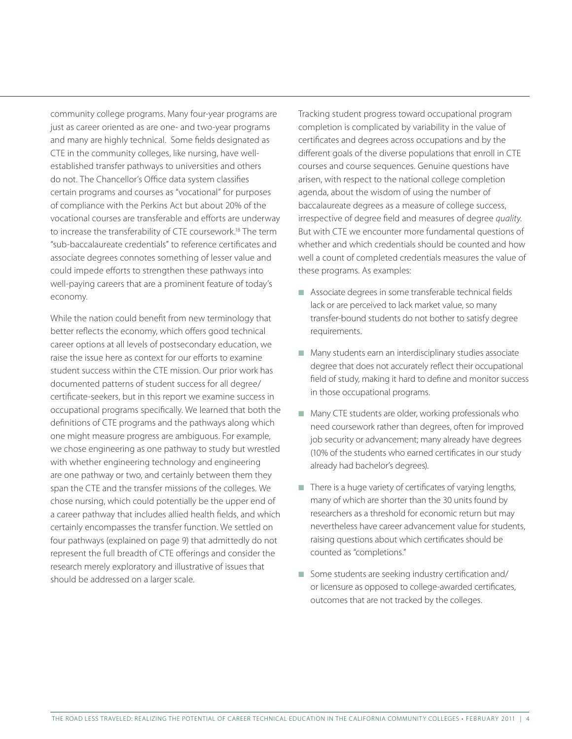community college programs. Many four-year programs are just as career oriented as are one- and two-year programs and many are highly technical. Some fields designated as CTE in the community colleges, like nursing, have wellestablished transfer pathways to universities and others do not. The Chancellor's Office data system classifies certain programs and courses as "vocational" for purposes of compliance with the Perkins Act but about 20% of the vocational courses are transferable and efforts are underway to increase the transferability of CTE coursework.18 The term "sub-baccalaureate credentials" to reference certificates and associate degrees connotes something of lesser value and could impede efforts to strengthen these pathways into well-paying careers that are a prominent feature of today's economy.

While the nation could benefit from new terminology that better reflects the economy, which offers good technical career options at all levels of postsecondary education, we raise the issue here as context for our efforts to examine student success within the CTE mission. Our prior work has documented patterns of student success for all degree/ certificate-seekers, but in this report we examine success in occupational programs specifically. We learned that both the definitions of CTE programs and the pathways along which one might measure progress are ambiguous. For example, we chose engineering as one pathway to study but wrestled with whether engineering technology and engineering are one pathway or two, and certainly between them they span the CTE and the transfer missions of the colleges. We chose nursing, which could potentially be the upper end of a career pathway that includes allied health fields, and which certainly encompasses the transfer function. We settled on four pathways (explained on page 9) that admittedly do not represent the full breadth of CTE offerings and consider the research merely exploratory and illustrative of issues that should be addressed on a larger scale.

Tracking student progress toward occupational program completion is complicated by variability in the value of certificates and degrees across occupations and by the different goals of the diverse populations that enroll in CTE courses and course sequences. Genuine questions have arisen, with respect to the national college completion agenda, about the wisdom of using the number of baccalaureate degrees as a measure of college success, irrespective of degree field and measures of degree *quality*. But with CTE we encounter more fundamental questions of whether and which credentials should be counted and how well a count of completed credentials measures the value of these programs. As examples:

- $\blacksquare$  Associate degrees in some transferable technical fields lack or are perceived to lack market value, so many transfer-bound students do not bother to satisfy degree requirements.
- Many students earn an interdisciplinary studies associate degree that does not accurately reflect their occupational field of study, making it hard to define and monitor success in those occupational programs.
- $\blacksquare$  Many CTE students are older, working professionals who need coursework rather than degrees, often for improved job security or advancement; many already have degrees (10% of the students who earned certificates in our study already had bachelor's degrees).
- $\blacksquare$  There is a huge variety of certificates of varying lengths, many of which are shorter than the 30 units found by researchers as a threshold for economic return but may nevertheless have career advancement value for students, raising questions about which certificates should be counted as "completions."
- Some students are seeking industry certification and/ or licensure as opposed to college-awarded certificates, outcomes that are not tracked by the colleges.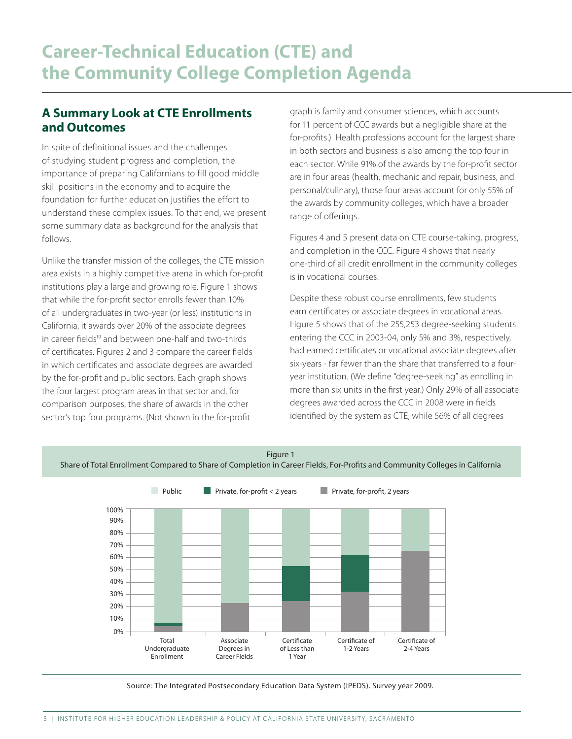## **A Summary Look at CTE Enrollments and Outcomes**

In spite of definitional issues and the challenges of studying student progress and completion, the importance of preparing Californians to fill good middle skill positions in the economy and to acquire the foundation for further education justifies the effort to understand these complex issues. To that end, we present some summary data as background for the analysis that follows.

Unlike the transfer mission of the colleges, the CTE mission area exists in a highly competitive arena in which for-profit institutions play a large and growing role. Figure 1 shows that while the for-profit sector enrolls fewer than 10% of all undergraduates in two-year (or less) institutions in California, it awards over 20% of the associate degrees in career fields<sup>19</sup> and between one-half and two-thirds of certificates. Figures 2 and 3 compare the career fields in which certificates and associate degrees are awarded by the for-profit and public sectors. Each graph shows the four largest program areas in that sector and, for comparison purposes, the share of awards in the other sector's top four programs. (Not shown in the for-profit

graph is family and consumer sciences, which accounts for 11 percent of CCC awards but a negligible share at the for-profits.) Health professions account for the largest share in both sectors and business is also among the top four in each sector. While 91% of the awards by the for-profit sector are in four areas (health, mechanic and repair, business, and personal/culinary), those four areas account for only 55% of the awards by community colleges, which have a broader range of offerings.

Figures 4 and 5 present data on CTE course-taking, progress, and completion in the CCC. Figure 4 shows that nearly one-third of all credit enrollment in the community colleges is in vocational courses.

Despite these robust course enrollments, few students earn certificates or associate degrees in vocational areas. Figure 5 shows that of the 255,253 degree-seeking students entering the CCC in 2003-04, only 5% and 3%, respectively, had earned certificates or vocational associate degrees after six-years - far fewer than the share that transferred to a fouryear institution. (We define "degree-seeking" as enrolling in more than six units in the first year.) Only 29% of all associate degrees awarded across the CCC in 2008 were in fields identified by the system as CTE, while 56% of all degrees



Source: The Integrated Postsecondary Education Data System (IPEDS). Survey year 2009.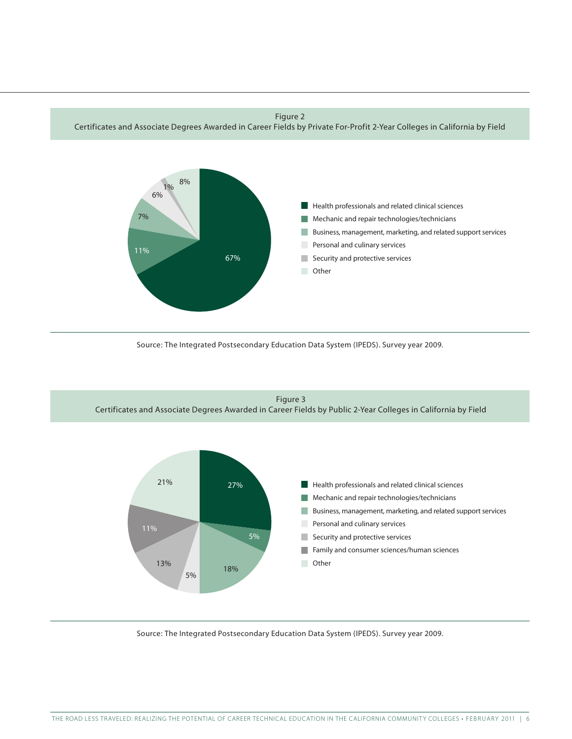Figure 2

Certificates and Associate Degrees Awarded in Career Fields by Private For-Profit 2-Year Colleges in California by Field



Source: The Integrated Postsecondary Education Data System (IPEDS). Survey year 2009.



Source: The Integrated Postsecondary Education Data System (IPEDS). Survey year 2009.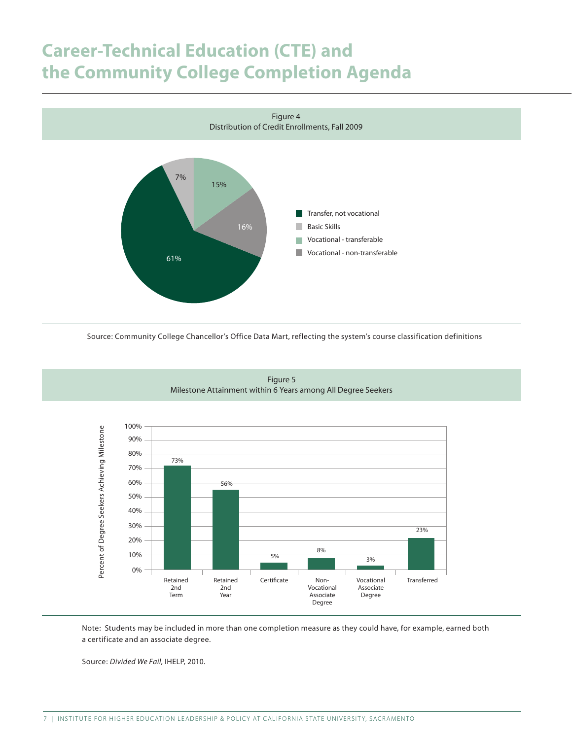## **Career-Technical Education (CTE) and the Community College Completion Agenda**



Source: Community College Chancellor's Office Data Mart, reflecting the system's course classification definitions



Figure 5 Milestone Attainment within 6 Years among All Degree Seekers

Note: Students may be included in more than one completion measure as they could have, for example, earned both a certificate and an associate degree.

Source: *Divided We Fail*, IHELP, 2010.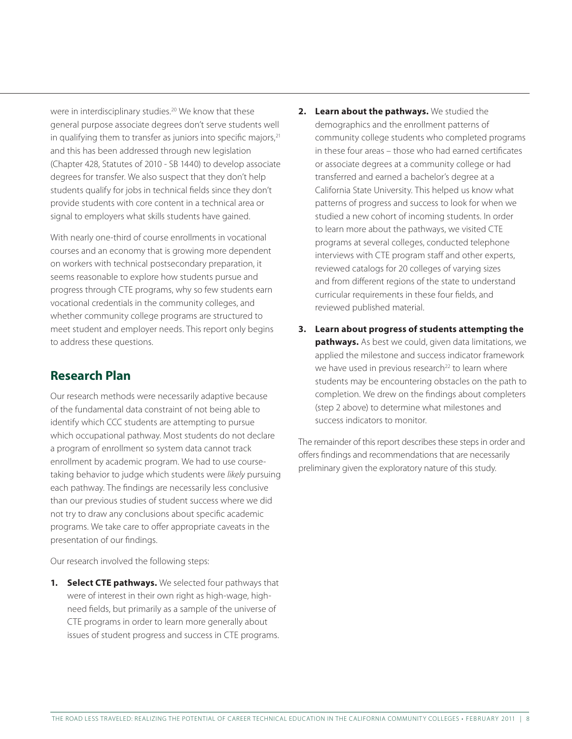were in interdisciplinary studies.<sup>20</sup> We know that these general purpose associate degrees don't serve students well in qualifying them to transfer as juniors into specific majors, $21$ and this has been addressed through new legislation (Chapter 428, Statutes of 2010 - SB 1440) to develop associate degrees for transfer. We also suspect that they don't help students qualify for jobs in technical fields since they don't provide students with core content in a technical area or signal to employers what skills students have gained.

With nearly one-third of course enrollments in vocational courses and an economy that is growing more dependent on workers with technical postsecondary preparation, it seems reasonable to explore how students pursue and progress through CTE programs, why so few students earn vocational credentials in the community colleges, and whether community college programs are structured to meet student and employer needs. This report only begins to address these questions.

## **Research Plan**

Our research methods were necessarily adaptive because of the fundamental data constraint of not being able to identify which CCC students are attempting to pursue which occupational pathway. Most students do not declare a program of enrollment so system data cannot track enrollment by academic program. We had to use coursetaking behavior to judge which students were *likely* pursuing each pathway. The findings are necessarily less conclusive than our previous studies of student success where we did not try to draw any conclusions about specific academic programs. We take care to offer appropriate caveats in the presentation of our findings.

Our research involved the following steps:

**1. Select CTE pathways.** We selected four pathways that were of interest in their own right as high-wage, highneed fields, but primarily as a sample of the universe of CTE programs in order to learn more generally about issues of student progress and success in CTE programs.

- **2. Learn about the pathways.** We studied the demographics and the enrollment patterns of community college students who completed programs in these four areas – those who had earned certificates or associate degrees at a community college or had transferred and earned a bachelor's degree at a California State University. This helped us know what patterns of progress and success to look for when we studied a new cohort of incoming students. In order to learn more about the pathways, we visited CTE programs at several colleges, conducted telephone interviews with CTE program staff and other experts, reviewed catalogs for 20 colleges of varying sizes and from different regions of the state to understand curricular requirements in these four fields, and reviewed published material.
- **3. Learn about progress of students attempting the pathways.** As best we could, given data limitations, we applied the milestone and success indicator framework we have used in previous research<sup>22</sup> to learn where students may be encountering obstacles on the path to completion. We drew on the findings about completers (step 2 above) to determine what milestones and success indicators to monitor.

The remainder of this report describes these steps in order and offers findings and recommendations that are necessarily preliminary given the exploratory nature of this study.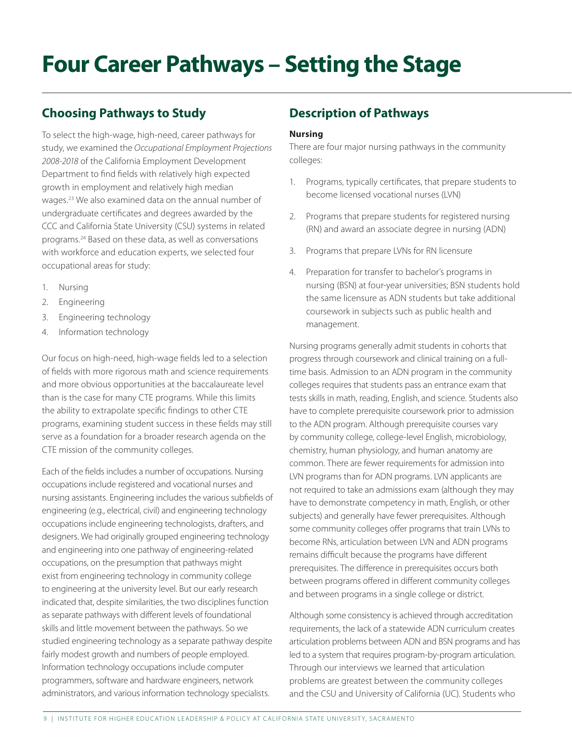# **Four Career Pathways – Setting the Stage**

## **Choosing Pathways to Study**

To select the high-wage, high-need, career pathways for study, we examined the *Occupational Employment Projections 2008-2018* of the California Employment Development Department to find fields with relatively high expected growth in employment and relatively high median wages.23 We also examined data on the annual number of undergraduate certificates and degrees awarded by the CCC and California State University (CSU) systems in related programs.24 Based on these data, as well as conversations with workforce and education experts, we selected four occupational areas for study:

- 1. Nursing
- 2. Engineering
- 3. Engineering technology
- 4. Information technology

Our focus on high-need, high-wage fields led to a selection of fields with more rigorous math and science requirements and more obvious opportunities at the baccalaureate level than is the case for many CTE programs. While this limits the ability to extrapolate specific findings to other CTE programs, examining student success in these fields may still serve as a foundation for a broader research agenda on the CTE mission of the community colleges.

Each of the fields includes a number of occupations. Nursing occupations include registered and vocational nurses and nursing assistants. Engineering includes the various subfields of engineering (e.g., electrical, civil) and engineering technology occupations include engineering technologists, drafters, and designers. We had originally grouped engineering technology and engineering into one pathway of engineering-related occupations, on the presumption that pathways might exist from engineering technology in community college to engineering at the university level. But our early research indicated that, despite similarities, the two disciplines function as separate pathways with different levels of foundational skills and little movement between the pathways. So we studied engineering technology as a separate pathway despite fairly modest growth and numbers of people employed. Information technology occupations include computer programmers, software and hardware engineers, network administrators, and various information technology specialists.

## **Description of Pathways**

#### **Nursing**

There are four major nursing pathways in the community colleges:

- 1. Programs, typically certificates, that prepare students to become licensed vocational nurses (LVN)
- 2. Programs that prepare students for registered nursing (RN) and award an associate degree in nursing (ADN)
- 3. Programs that prepare LVNs for RN licensure
- 4. Preparation for transfer to bachelor's programs in nursing (BSN) at four-year universities; BSN students hold the same licensure as ADN students but take additional coursework in subjects such as public health and management.

Nursing programs generally admit students in cohorts that progress through coursework and clinical training on a fulltime basis. Admission to an ADN program in the community colleges requires that students pass an entrance exam that tests skills in math, reading, English, and science. Students also have to complete prerequisite coursework prior to admission to the ADN program. Although prerequisite courses vary by community college, college-level English, microbiology, chemistry, human physiology, and human anatomy are common. There are fewer requirements for admission into LVN programs than for ADN programs. LVN applicants are not required to take an admissions exam (although they may have to demonstrate competency in math, English, or other subjects) and generally have fewer prerequisites. Although some community colleges offer programs that train LVNs to become RNs, articulation between LVN and ADN programs remains difficult because the programs have different prerequisites. The difference in prerequisites occurs both between programs offered in different community colleges and between programs in a single college or district.

Although some consistency is achieved through accreditation requirements, the lack of a statewide ADN curriculum creates articulation problems between ADN and BSN programs and has led to a system that requires program-by-program articulation. Through our interviews we learned that articulation problems are greatest between the community colleges and the CSU and University of California (UC). Students who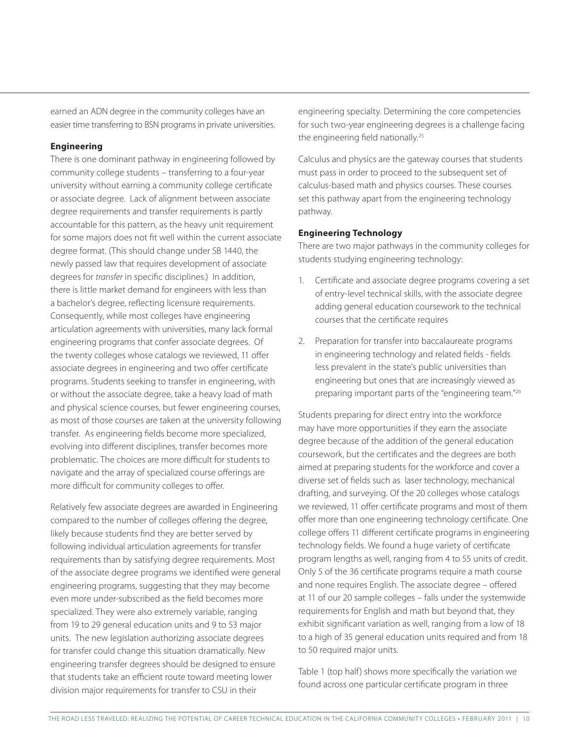earned an ADN degree in the community colleges have an easier time transferring to BSN programs in private universities.

#### **Engineering**

There is one dominant pathway in engineering followed by community college students – transferring to a four-year university without earning a community college certificate or associate degree. Lack of alignment between associate degree requirements and transfer requirements is partly accountable for this pattern, as the heavy unit requirement for some majors does not fit well within the current associate degree format. (This should change under SB 1440, the newly passed law that requires development of associate degrees for *transfer* in specific disciplines.) In addition, there is little market demand for engineers with less than a bachelor's degree, reflecting licensure requirements. Consequently, while most colleges have engineering articulation agreements with universities, many lack formal engineering programs that confer associate degrees. Of the twenty colleges whose catalogs we reviewed, 11 offer associate degrees in engineering and two offer certificate programs. Students seeking to transfer in engineering, with or without the associate degree, take a heavy load of math and physical science courses, but fewer engineering courses, as most of those courses are taken at the university following transfer. As engineering fields become more specialized, evolving into different disciplines, transfer becomes more problematic. The choices are more difficult for students to navigate and the array of specialized course offerings are more difficult for community colleges to offer.

Relatively few associate degrees are awarded in Engineering compared to the number of colleges offering the degree, likely because students find they are better served by following individual articulation agreements for transfer requirements than by satisfying degree requirements. Most of the associate degree programs we identified were general engineering programs, suggesting that they may become even more under-subscribed as the field becomes more specialized. They were also extremely variable, ranging from 19 to 29 general education units and 9 to 53 major units. The new legislation authorizing associate degrees for transfer could change this situation dramatically. New engineering transfer degrees should be designed to ensure that students take an efficient route toward meeting lower division major requirements for transfer to CSU in their

engineering specialty. Determining the core competencies for such two-year engineering degrees is a challenge facing the engineering field nationally.<sup>25</sup>

Calculus and physics are the gateway courses that students must pass in order to proceed to the subsequent set of calculus-based math and physics courses. These courses set this pathway apart from the engineering technology pathway.

#### **Engineering Technology**

There are two major pathways in the community colleges for students studying engineering technology:

- 1. Certificate and associate degree programs covering a set of entry-level technical skills, with the associate degree adding general education coursework to the technical courses that the certificate requires
- 2. Preparation for transfer into baccalaureate programs in engineering technology and related fields - fields less prevalent in the state's public universities than engineering but ones that are increasingly viewed as preparing important parts of the "engineering team."26

Students preparing for direct entry into the workforce may have more opportunities if they earn the associate degree because of the addition of the general education coursework, but the certificates and the degrees are both aimed at preparing students for the workforce and cover a diverse set of fields such as laser technology, mechanical drafting, and surveying. Of the 20 colleges whose catalogs we reviewed, 11 offer certificate programs and most of them offer more than one engineering technology certificate. One college offers 11 different certificate programs in engineering technology fields. We found a huge variety of certificate program lengths as well, ranging from 4 to 55 units of credit. Only 5 of the 36 certificate programs require a math course and none requires English. The associate degree – offered at 11 of our 20 sample colleges – falls under the systemwide requirements for English and math but beyond that, they exhibit significant variation as well, ranging from a low of 18 to a high of 35 general education units required and from 18 to 50 required major units.

Table 1 (top half) shows more specifically the variation we found across one particular certificate program in three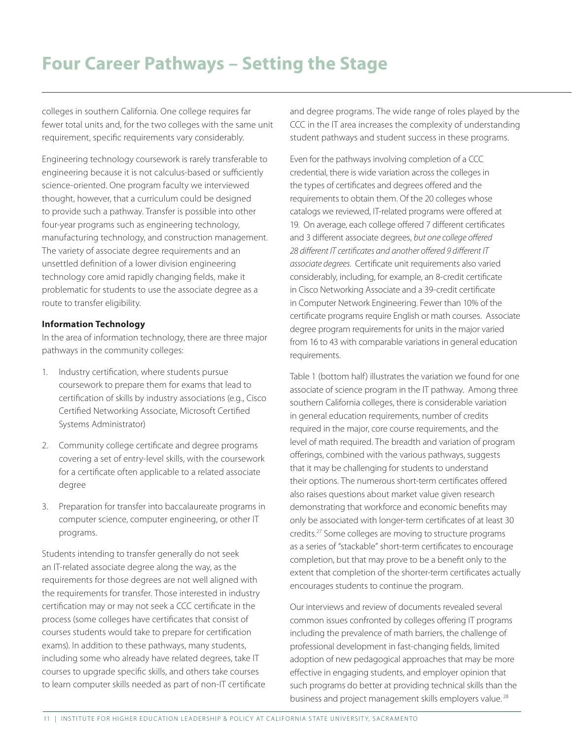colleges in southern California. One college requires far fewer total units and, for the two colleges with the same unit requirement, specific requirements vary considerably.

Engineering technology coursework is rarely transferable to engineering because it is not calculus-based or sufficiently science-oriented. One program faculty we interviewed thought, however, that a curriculum could be designed to provide such a pathway. Transfer is possible into other four-year programs such as engineering technology, manufacturing technology, and construction management. The variety of associate degree requirements and an unsettled definition of a lower division engineering technology core amid rapidly changing fields, make it problematic for students to use the associate degree as a route to transfer eligibility.

#### **Information Technology**

In the area of information technology, there are three major pathways in the community colleges:

- 1. Industry certification, where students pursue coursework to prepare them for exams that lead to certification of skills by industry associations (e.g., Cisco Certified Networking Associate, Microsoft Certified Systems Administrator)
- 2. Community college certificate and degree programs covering a set of entry-level skills, with the coursework for a certificate often applicable to a related associate degree
- 3. Preparation for transfer into baccalaureate programs in computer science, computer engineering, or other IT programs.

Students intending to transfer generally do not seek an IT-related associate degree along the way, as the requirements for those degrees are not well aligned with the requirements for transfer. Those interested in industry certification may or may not seek a CCC certificate in the process (some colleges have certificates that consist of courses students would take to prepare for certification exams). In addition to these pathways, many students, including some who already have related degrees, take IT courses to upgrade specific skills, and others take courses to learn computer skills needed as part of non-IT certificate and degree programs. The wide range of roles played by the CCC in the IT area increases the complexity of understanding student pathways and student success in these programs.

Even for the pathways involving completion of a CCC credential, there is wide variation across the colleges in the types of certificates and degrees offered and the requirements to obtain them. Of the 20 colleges whose catalogs we reviewed, IT-related programs were offered at 19. On average, each college offered 7 different certificates and 3 different associate degrees, *but one college offered 28 different IT certificates and another offered 9 different IT associate degrees*. Certificate unit requirements also varied considerably, including, for example, an 8-credit certificate in Cisco Networking Associate and a 39-credit certificate in Computer Network Engineering. Fewer than 10% of the certificate programs require English or math courses. Associate degree program requirements for units in the major varied from 16 to 43 with comparable variations in general education requirements.

Table 1 (bottom half) illustrates the variation we found for one associate of science program in the IT pathway. Among three southern California colleges, there is considerable variation in general education requirements, number of credits required in the major, core course requirements, and the level of math required. The breadth and variation of program offerings, combined with the various pathways, suggests that it may be challenging for students to understand their options. The numerous short-term certificates offered also raises questions about market value given research demonstrating that workforce and economic benefits may only be associated with longer-term certificates of at least 30 credits.27 Some colleges are moving to structure programs as a series of "stackable" short-term certificates to encourage completion, but that may prove to be a benefit only to the extent that completion of the shorter-term certificates actually encourages students to continue the program.

Our interviews and review of documents revealed several common issues confronted by colleges offering IT programs including the prevalence of math barriers, the challenge of professional development in fast-changing fields, limited adoption of new pedagogical approaches that may be more effective in engaging students, and employer opinion that such programs do better at providing technical skills than the business and project management skills employers value. 28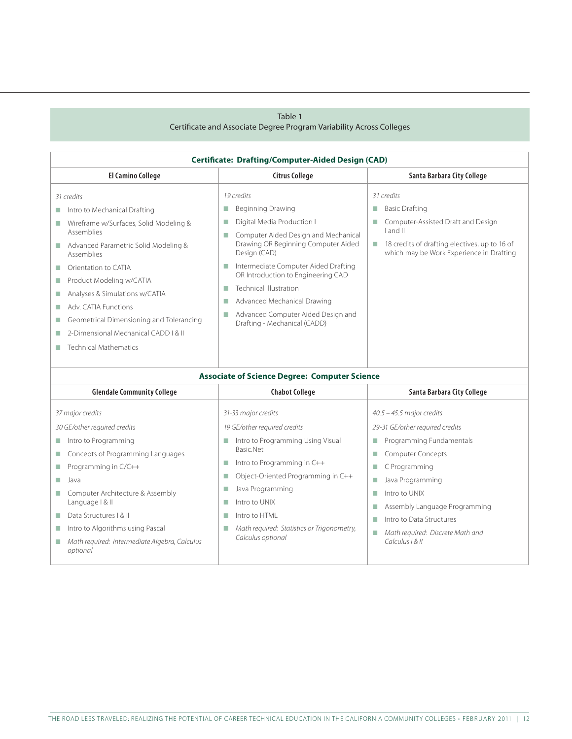#### Table 1

#### Certificate and Associate Degree Program Variability Across Colleges

| <b>Certificate: Drafting/Computer-Aided Design (CAD)</b>                                                                                                                                                                                                                                                                                                                                                                          |                                                                                                                                                                                                                                                                                                                                                                                                                            |                                                                                                                                                                                                                                                                                                                                    |  |  |  |
|-----------------------------------------------------------------------------------------------------------------------------------------------------------------------------------------------------------------------------------------------------------------------------------------------------------------------------------------------------------------------------------------------------------------------------------|----------------------------------------------------------------------------------------------------------------------------------------------------------------------------------------------------------------------------------------------------------------------------------------------------------------------------------------------------------------------------------------------------------------------------|------------------------------------------------------------------------------------------------------------------------------------------------------------------------------------------------------------------------------------------------------------------------------------------------------------------------------------|--|--|--|
| <b>El Camino College</b>                                                                                                                                                                                                                                                                                                                                                                                                          | <b>Citrus College</b>                                                                                                                                                                                                                                                                                                                                                                                                      | Santa Barbara City College                                                                                                                                                                                                                                                                                                         |  |  |  |
| 31 credits<br>Intro to Mechanical Drafting<br>T.<br>Wireframe w/Surfaces, Solid Modeling &<br>T.<br>Assemblies<br>Advanced Parametric Solid Modeling &<br>Assemblies<br>Orientation to CATIA<br>m.<br>Product Modeling w/CATIA<br>П<br>Analyses & Simulations w/CATIA<br>m.<br>Adv. CATIA Functions<br>П<br>Geometrical Dimensioning and Tolerancing<br>П<br>2-Dimensional Mechanical CADD I & II<br><b>Technical Mathematics</b> | 19 credits<br>Beginning Drawing<br>m,<br>Digital Media Production I<br>m.<br>Computer Aided Design and Mechanical<br>m.<br>Drawing OR Beginning Computer Aided<br>Design (CAD)<br>Intermediate Computer Aided Drafting<br>F.<br>OR Introduction to Engineering CAD<br><b>Technical Illustration</b><br>m.<br>Advanced Mechanical Drawing<br>m.<br>Advanced Computer Aided Design and<br>F.<br>Drafting - Mechanical (CADD) | 31 credits<br><b>Basic Drafting</b><br>П<br>Computer-Assisted Draft and Design<br>Land II<br>18 credits of drafting electives, up to 16 of<br>T.<br>which may be Work Experience in Drafting                                                                                                                                       |  |  |  |
|                                                                                                                                                                                                                                                                                                                                                                                                                                   | <b>Associate of Science Degree: Computer Science</b>                                                                                                                                                                                                                                                                                                                                                                       |                                                                                                                                                                                                                                                                                                                                    |  |  |  |
| <b>Glendale Community College</b>                                                                                                                                                                                                                                                                                                                                                                                                 | <b>Chabot College</b>                                                                                                                                                                                                                                                                                                                                                                                                      | Santa Barbara City College                                                                                                                                                                                                                                                                                                         |  |  |  |
| 37 major credits<br>30 GE/other required credits<br>Intro to Programming<br>ш<br>Concepts of Programming Languages<br>m.<br>Programming in C/C++<br>T.<br>Java<br>m.<br>Computer Architecture & Assembly<br>П<br>Language   & II<br>Data Structures   & II<br>T.<br>Intro to Algorithms using Pascal<br>Math required: Intermediate Algebra, Calculus<br>п<br>optional                                                            | 31-33 major credits<br>19 GE/other required credits<br>Intro to Programming Using Visual<br>T.<br>Basic.Net<br>Intro to Programming in C++<br>п<br>Object-Oriented Programming in C++<br>m,<br>Java Programming<br>m,<br>Intro to UNIX<br>m.<br>Intro to HTML<br>m.<br>Math required: Statistics or Trigonometry,<br>F.<br>Calculus optional                                                                               | $40.5 - 45.5$ major credits<br>29-31 GE/other required credits<br>Programming Fundamentals<br>П<br>Computer Concepts<br>П<br>C Programming<br>П<br>Java Programming<br>Ш<br>Intro to UNIX<br>П<br>Assembly Language Programming<br>П<br>Intro to Data Structures<br>П<br>Math required: Discrete Math and<br>m.<br>Calculus   & II |  |  |  |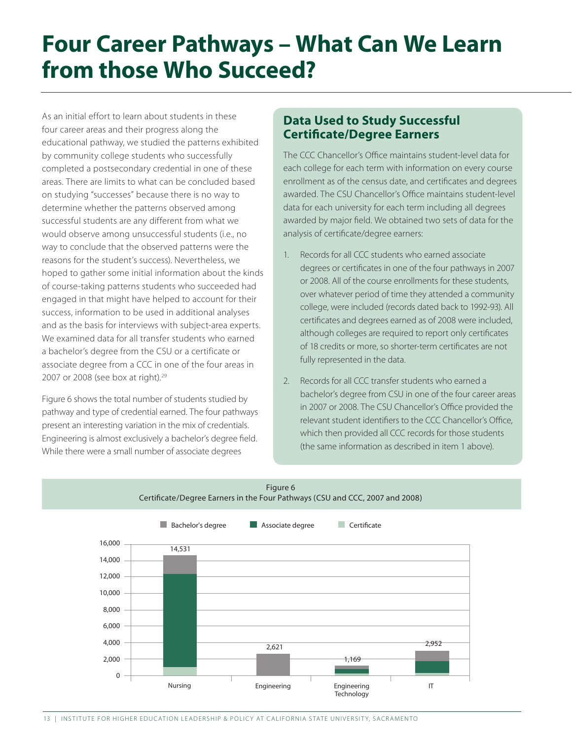## **Four Career Pathways – What Can We Learn from those Who Succeed?**

As an initial effort to learn about students in these four career areas and their progress along the educational pathway, we studied the patterns exhibited by community college students who successfully completed a postsecondary credential in one of these areas. There are limits to what can be concluded based on studying "successes" because there is no way to determine whether the patterns observed among successful students are any different from what we would observe among unsuccessful students (i.e., no way to conclude that the observed patterns were the reasons for the student's success). Nevertheless, we hoped to gather some initial information about the kinds of course-taking patterns students who succeeded had engaged in that might have helped to account for their success, information to be used in additional analyses and as the basis for interviews with subject-area experts. We examined data for all transfer students who earned a bachelor's degree from the CSU or a certificate or associate degree from a CCC in one of the four areas in 2007 or 2008 (see box at right).<sup>29</sup>

Figure 6 shows the total number of students studied by pathway and type of credential earned. The four pathways present an interesting variation in the mix of credentials. Engineering is almost exclusively a bachelor's degree field. While there were a small number of associate degrees

## **Data Used to Study Successful Certificate/Degree Earners**

The CCC Chancellor's Office maintains student-level data for each college for each term with information on every course enrollment as of the census date, and certificates and degrees awarded. The CSU Chancellor's Office maintains student-level data for each university for each term including all degrees awarded by major field. We obtained two sets of data for the analysis of certificate/degree earners:

- 1. Records for all CCC students who earned associate degrees or certificates in one of the four pathways in 2007 or 2008. All of the course enrollments for these students, over whatever period of time they attended a community college, were included (records dated back to 1992-93). All certificates and degrees earned as of 2008 were included, although colleges are required to report only certificates of 18 credits or more, so shorter-term certificates are not fully represented in the data.
- 2. Records for all CCC transfer students who earned a bachelor's degree from CSU in one of the four career areas in 2007 or 2008. The CSU Chancellor's Office provided the relevant student identifiers to the CCC Chancellor's Office, which then provided all CCC records for those students (the same information as described in item 1 above).



#### Figure 6 Certificate/Degree Earners in the Four Pathways (CSU and CCC, 2007 and 2008)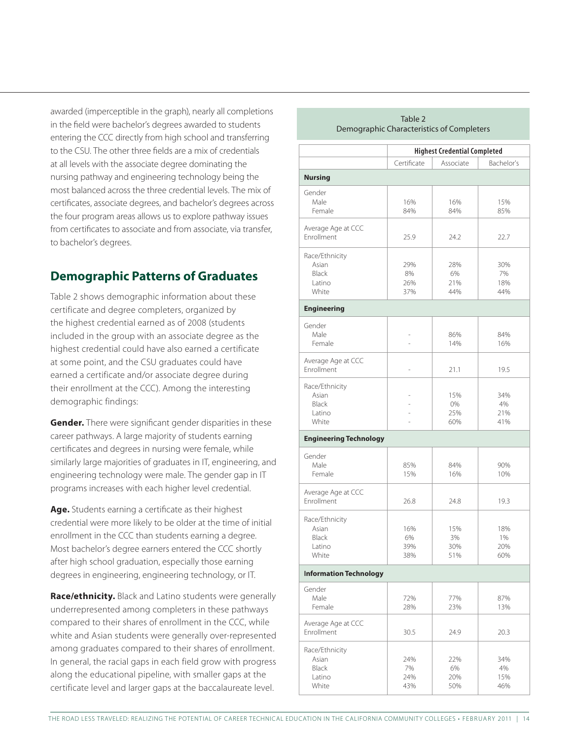awarded (imperceptible in the graph), nearly all completions in the field were bachelor's degrees awarded to students entering the CCC directly from high school and transferring to the CSU. The other three fields are a mix of credentials at all levels with the associate degree dominating the nursing pathway and engineering technology being the most balanced across the three credential levels. The mix of certificates, associate degrees, and bachelor's degrees across the four program areas allows us to explore pathway issues from certificates to associate and from associate, via transfer, to bachelor's degrees.

## **Demographic Patterns of Graduates**

Table 2 shows demographic information about these certificate and degree completers, organized by the highest credential earned as of 2008 (students included in the group with an associate degree as the highest credential could have also earned a certificate at some point, and the CSU graduates could have earned a certificate and/or associate degree during their enrollment at the CCC). Among the interesting demographic findings:

**Gender.** There were significant gender disparities in these career pathways. A large majority of students earning certificates and degrees in nursing were female, while similarly large majorities of graduates in IT, engineering, and engineering technology were male. The gender gap in IT programs increases with each higher level credential.

**Age.** Students earning a certificate as their highest credential were more likely to be older at the time of initial enrollment in the CCC than students earning a degree. Most bachelor's degree earners entered the CCC shortly after high school graduation, especially those earning degrees in engineering, engineering technology, or IT.

**Race/ethnicity.** Black and Latino students were generally underrepresented among completers in these pathways compared to their shares of enrollment in the CCC, while white and Asian students were generally over-represented among graduates compared to their shares of enrollment. In general, the racial gaps in each field grow with progress along the educational pipeline, with smaller gaps at the certificate level and larger gaps at the baccalaureate level.

| Demographic Characteristics of Completers |                                     |           |            |  |
|-------------------------------------------|-------------------------------------|-----------|------------|--|
|                                           | <b>Highest Credential Completed</b> |           |            |  |
|                                           | Certificate                         | Associate | Bachelor's |  |
| <b>Nursing</b>                            |                                     |           |            |  |
| Gender                                    |                                     |           |            |  |
| Male                                      | 16%                                 | 16%       | 15%        |  |
| Female                                    | 84%                                 | 84%       | 85%        |  |
| Average Age at CCC                        |                                     |           |            |  |
| Enrollment                                | 25.9                                | 24.2      | 22.7       |  |
|                                           |                                     |           |            |  |
| Race/Ethnicity                            |                                     |           |            |  |
| Asian                                     | 29%                                 | 28%       | 30%        |  |
| Black<br>Latino                           | 8%<br>26%                           | 6%<br>21% | 7%<br>18%  |  |
| White                                     | 37%                                 | 44%       | 44%        |  |
| <b>Engineering</b>                        |                                     |           |            |  |
|                                           |                                     |           |            |  |
| Gender                                    |                                     |           |            |  |
| Male                                      |                                     | 86%       | 84%        |  |
| Female                                    |                                     | 14%       | 16%        |  |
| Average Age at CCC                        |                                     |           |            |  |
| Enrollment                                |                                     | 21.1      | 19.5       |  |
| Race/Ethnicity                            |                                     |           |            |  |
| Asian                                     | L,                                  | 15%       | 34%        |  |
| Black                                     |                                     | 0%        | 4%         |  |
| Latino                                    |                                     | 25%       | 21%        |  |
| White                                     |                                     | 60%       | 41%        |  |
| <b>Engineering Technology</b>             |                                     |           |            |  |
| Gender                                    |                                     |           |            |  |
| Male                                      | 85%                                 | 84%       | 90%        |  |
| Female                                    | 15%                                 | 16%       | 10%        |  |
|                                           |                                     |           |            |  |
| Average Age at CCC<br>Enrollment          | 26.8                                | 24.8      | 19.3       |  |
|                                           |                                     |           |            |  |
| Race/Ethnicity                            |                                     |           |            |  |
| Asian                                     | 16%                                 | 15%       | 18%        |  |
| Black                                     | 6%                                  | 3%        | 1%         |  |
| Latino                                    | 39%                                 | 30%       | 20%        |  |
| White                                     | 38%                                 | 51%       | 60%        |  |
| <b>Information Technology</b>             |                                     |           |            |  |
| Gender                                    |                                     |           |            |  |
| Male                                      | 72%                                 | 77%       | 87%        |  |
| Female                                    | 28%                                 | 23%       | 13%        |  |
| Average Age at CCC                        |                                     |           |            |  |
| Enrollment                                | 30.5                                | 24.9      | 20.3       |  |
| Race/Ethnicity                            |                                     |           |            |  |
| Asian                                     | 24%                                 | 22%       | 34%        |  |
| Black                                     | 7%                                  | 6%        | 4%         |  |
| Latino                                    | 24%                                 | 20%       | 15%        |  |
| White                                     | 43%                                 | 50%       | 46%        |  |

Table 2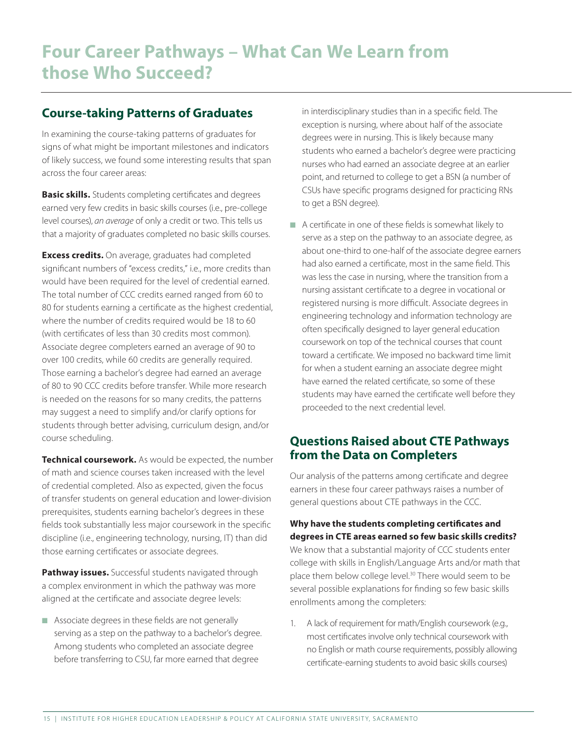## **Course-taking Patterns of Graduates**

In examining the course-taking patterns of graduates for signs of what might be important milestones and indicators of likely success, we found some interesting results that span across the four career areas:

**Basic skills.** Students completing certificates and degrees earned very few credits in basic skills courses (i.e., pre-college level courses), *an average* of only a credit or two. This tells us that a majority of graduates completed no basic skills courses.

**Excess credits.** On average, graduates had completed significant numbers of "excess credits," i.e., more credits than would have been required for the level of credential earned. The total number of CCC credits earned ranged from 60 to 80 for students earning a certificate as the highest credential, where the number of credits required would be 18 to 60 (with certificates of less than 30 credits most common). Associate degree completers earned an average of 90 to over 100 credits, while 60 credits are generally required. Those earning a bachelor's degree had earned an average of 80 to 90 CCC credits before transfer. While more research is needed on the reasons for so many credits, the patterns may suggest a need to simplify and/or clarify options for students through better advising, curriculum design, and/or course scheduling.

**Technical coursework.** As would be expected, the number of math and science courses taken increased with the level of credential completed. Also as expected, given the focus of transfer students on general education and lower-division prerequisites, students earning bachelor's degrees in these fields took substantially less major coursework in the specific discipline (i.e., engineering technology, nursing, IT) than did those earning certificates or associate degrees.

**Pathway issues.** Successful students navigated through a complex environment in which the pathway was more aligned at the certificate and associate degree levels:

Associate degrees in these fields are not generally serving as a step on the pathway to a bachelor's degree. Among students who completed an associate degree before transferring to CSU, far more earned that degree

in interdisciplinary studies than in a specific field. The exception is nursing, where about half of the associate degrees were in nursing. This is likely because many students who earned a bachelor's degree were practicing nurses who had earned an associate degree at an earlier point, and returned to college to get a BSN (a number of CSUs have specific programs designed for practicing RNs to get a BSN degree).

 $\blacksquare$  A certificate in one of these fields is somewhat likely to serve as a step on the pathway to an associate degree, as about one-third to one-half of the associate degree earners had also earned a certificate, most in the same field. This was less the case in nursing, where the transition from a nursing assistant certificate to a degree in vocational or registered nursing is more difficult. Associate degrees in engineering technology and information technology are often specifically designed to layer general education coursework on top of the technical courses that count toward a certificate. We imposed no backward time limit for when a student earning an associate degree might have earned the related certificate, so some of these students may have earned the certificate well before they proceeded to the next credential level.

## **Questions Raised about CTE Pathways from the Data on Completers**

Our analysis of the patterns among certificate and degree earners in these four career pathways raises a number of general questions about CTE pathways in the CCC.

**Why have the students completing certificates and degrees in CTE areas earned so few basic skills credits?**  We know that a substantial majority of CCC students enter college with skills in English/Language Arts and/or math that place them below college level.30 There would seem to be several possible explanations for finding so few basic skills enrollments among the completers:

1. A lack of requirement for math/English coursework (e.g., most certificates involve only technical coursework with no English or math course requirements, possibly allowing certificate-earning students to avoid basic skills courses)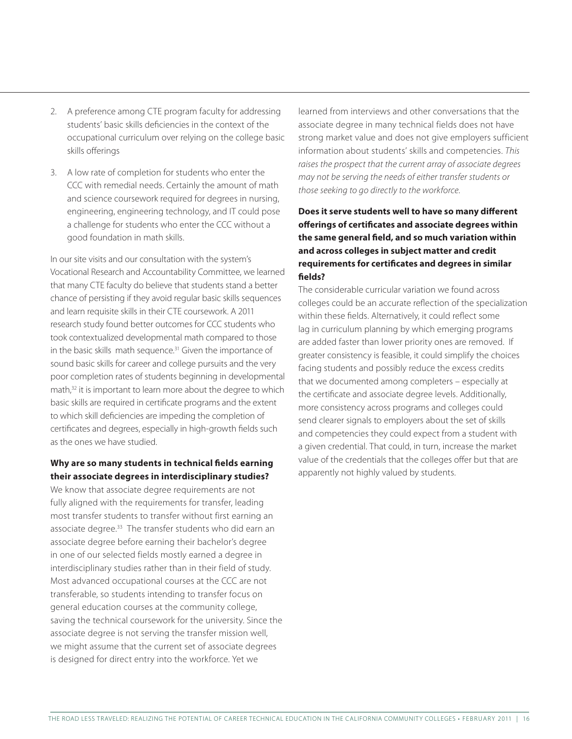- 2. A preference among CTE program faculty for addressing students' basic skills deficiencies in the context of the occupational curriculum over relying on the college basic skills offerings
- 3. A low rate of completion for students who enter the CCC with remedial needs. Certainly the amount of math and science coursework required for degrees in nursing, engineering, engineering technology, and IT could pose a challenge for students who enter the CCC without a good foundation in math skills.

In our site visits and our consultation with the system's Vocational Research and Accountability Committee, we learned that many CTE faculty do believe that students stand a better chance of persisting if they avoid regular basic skills sequences and learn requisite skills in their CTE coursework. A 2011 research study found better outcomes for CCC students who took contextualized developmental math compared to those in the basic skills math sequence.<sup>31</sup> Given the importance of sound basic skills for career and college pursuits and the very poor completion rates of students beginning in developmental math,<sup>32</sup> it is important to learn more about the degree to which basic skills are required in certificate programs and the extent to which skill deficiencies are impeding the completion of certificates and degrees, especially in high-growth fields such as the ones we have studied.

#### **Why are so many students in technical fields earning their associate degrees in interdisciplinary studies?**

We know that associate degree requirements are not fully aligned with the requirements for transfer, leading most transfer students to transfer without first earning an associate degree.33 The transfer students who did earn an associate degree before earning their bachelor's degree in one of our selected fields mostly earned a degree in interdisciplinary studies rather than in their field of study. Most advanced occupational courses at the CCC are not transferable, so students intending to transfer focus on general education courses at the community college, saving the technical coursework for the university. Since the associate degree is not serving the transfer mission well, we might assume that the current set of associate degrees is designed for direct entry into the workforce. Yet we

learned from interviews and other conversations that the associate degree in many technical fields does not have strong market value and does not give employers sufficient information about students' skills and competencies. *This raises the prospect that the current array of associate degrees may not be serving the needs of either transfer students or those seeking to go directly to the workforce*.

#### **Does it serve students well to have so many different offerings of certificates and associate degrees within the same general field, and so much variation within and across colleges in subject matter and credit requirements for certificates and degrees in similar fields?**

The considerable curricular variation we found across colleges could be an accurate reflection of the specialization within these fields. Alternatively, it could reflect some lag in curriculum planning by which emerging programs are added faster than lower priority ones are removed. If greater consistency is feasible, it could simplify the choices facing students and possibly reduce the excess credits that we documented among completers – especially at the certificate and associate degree levels. Additionally, more consistency across programs and colleges could send clearer signals to employers about the set of skills and competencies they could expect from a student with a given credential. That could, in turn, increase the market value of the credentials that the colleges offer but that are apparently not highly valued by students.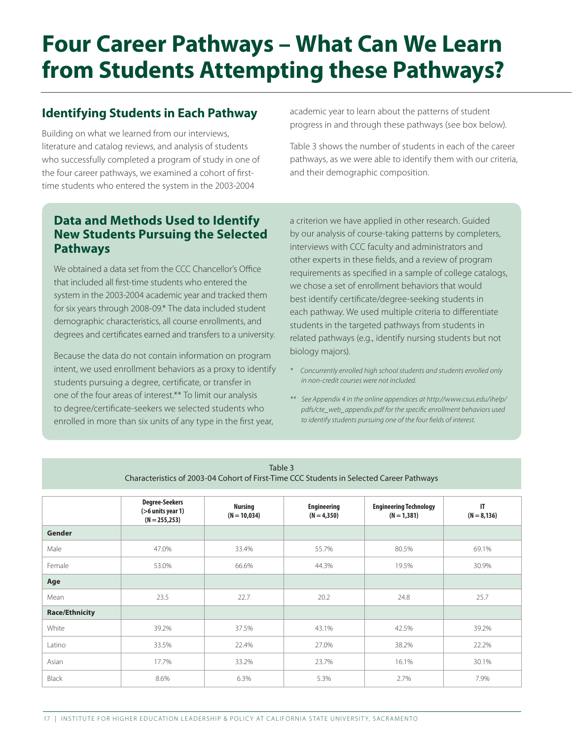## **Four Career Pathways – What Can We Learn from Students Attempting these Pathways?**

## **Identifying Students in Each Pathway**

Building on what we learned from our interviews, literature and catalog reviews, and analysis of students who successfully completed a program of study in one of the four career pathways, we examined a cohort of firsttime students who entered the system in the 2003-2004

academic year to learn about the patterns of student progress in and through these pathways (see box below).

Table 3 shows the number of students in each of the career pathways, as we were able to identify them with our criteria, and their demographic composition.

## **Data and Methods Used to Identify New Students Pursuing the Selected Pathways**

We obtained a data set from the CCC Chancellor's Office that included all first-time students who entered the system in the 2003-2004 academic year and tracked them for six years through 2008-09.\* The data included student demographic characteristics, all course enrollments, and degrees and certificates earned and transfers to a university.

Because the data do not contain information on program intent, we used enrollment behaviors as a proxy to identify students pursuing a degree, certificate, or transfer in one of the four areas of interest.\*\* To limit our analysis to degree/certificate-seekers we selected students who enrolled in more than six units of any type in the first year,

a criterion we have applied in other research. Guided by our analysis of course-taking patterns by completers, interviews with CCC faculty and administrators and other experts in these fields, and a review of program requirements as specified in a sample of college catalogs, we chose a set of enrollment behaviors that would best identify certificate/degree-seeking students in each pathway. We used multiple criteria to differentiate students in the targeted pathways from students in related pathways (e.g., identify nursing students but not biology majors).

- *\* Concurrently enrolled high school students and students enrolled only in non-credit courses were not included.*
- *\*\* See Appendix 4 in the online appendices at http://www.csus.edu/ihelp/ pdfs/cte\_web\_appendix.pdf for the specific enrollment behaviors used to identify students pursuing one of the four fields of interest.*

| LUNIC J<br>Characteristics of 2003-04 Cohort of First-Time CCC Students in Selected Career Pathways |                                                                |                                  |                                     |                                                |                      |
|-----------------------------------------------------------------------------------------------------|----------------------------------------------------------------|----------------------------------|-------------------------------------|------------------------------------------------|----------------------|
|                                                                                                     | <b>Degree-Seekers</b><br>(>6 units year 1)<br>$(N = 255, 253)$ | <b>Nursing</b><br>$(N = 10,034)$ | <b>Engineering</b><br>$(N = 4,350)$ | <b>Engineering Technology</b><br>$(N = 1,381)$ | IT<br>$(N = 8, 136)$ |
| Gender                                                                                              |                                                                |                                  |                                     |                                                |                      |
| Male                                                                                                | 47.0%                                                          | 33.4%                            | 55.7%                               | 80.5%                                          | 69.1%                |
| Female                                                                                              | 53.0%                                                          | 66.6%                            | 44.3%                               | 19.5%                                          | 30.9%                |
| Age                                                                                                 |                                                                |                                  |                                     |                                                |                      |
| Mean                                                                                                | 23.5                                                           | 22.7                             | 20.2                                | 24.8                                           | 25.7                 |
| <b>Race/Ethnicity</b>                                                                               |                                                                |                                  |                                     |                                                |                      |
| White                                                                                               | 39.2%                                                          | 37.5%                            | 43.1%                               | 42.5%                                          | 39.2%                |
| Latino                                                                                              | 33.5%                                                          | 22.4%                            | 27.0%                               | 38.2%                                          | 22.2%                |
| Asian                                                                                               | 17.7%                                                          | 33.2%                            | 23.7%                               | 16.1%                                          | 30.1%                |
| Black                                                                                               | 8.6%                                                           | 6.3%                             | 5.3%                                | 2.7%                                           | 7.9%                 |

 $Table 3$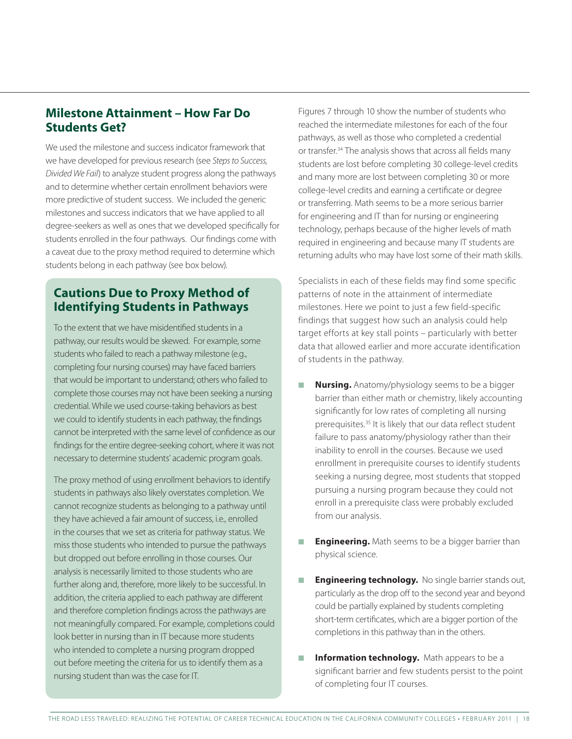### **Milestone Attainment – How Far Do Students Get?**

We used the milestone and success indicator framework that we have developed for previous research (see *Steps to Success, Divided We Fail*) to analyze student progress along the pathways and to determine whether certain enrollment behaviors were more predictive of student success. We included the generic milestones and success indicators that we have applied to all degree-seekers as well as ones that we developed specifically for students enrolled in the four pathways. Our findings come with a caveat due to the proxy method required to determine which students belong in each pathway (see box below).

## **Cautions Due to Proxy Method of Identifying Students in Pathways**

To the extent that we have misidentified students in a pathway, our results would be skewed. For example, some students who failed to reach a pathway milestone (e.g., completing four nursing courses) may have faced barriers that would be important to understand; others who failed to complete those courses may not have been seeking a nursing credential. While we used course-taking behaviors as best we could to identify students in each pathway, the findings cannot be interpreted with the same level of confidence as our findings for the entire degree-seeking cohort, where it was not necessary to determine students' academic program goals.

The proxy method of using enrollment behaviors to identify students in pathways also likely overstates completion. We cannot recognize students as belonging to a pathway until they have achieved a fair amount of success, i.e., enrolled in the courses that we set as criteria for pathway status. We miss those students who intended to pursue the pathways but dropped out before enrolling in those courses. Our analysis is necessarily limited to those students who are further along and, therefore, more likely to be successful. In addition, the criteria applied to each pathway are different and therefore completion findings across the pathways are not meaningfully compared. For example, completions could look better in nursing than in IT because more students who intended to complete a nursing program dropped out before meeting the criteria for us to identify them as a nursing student than was the case for IT.

Figures 7 through 10 show the number of students who reached the intermediate milestones for each of the four pathways, as well as those who completed a credential or transfer.<sup>34</sup> The analysis shows that across all fields many students are lost before completing 30 college-level credits and many more are lost between completing 30 or more college-level credits and earning a certificate or degree or transferring. Math seems to be a more serious barrier for engineering and IT than for nursing or engineering technology, perhaps because of the higher levels of math required in engineering and because many IT students are returning adults who may have lost some of their math skills.

Specialists in each of these fields may find some specific patterns of note in the attainment of intermediate milestones. Here we point to just a few field-specific findings that suggest how such an analysis could help target efforts at key stall points – particularly with better data that allowed earlier and more accurate identification of students in the pathway.

- **Nursing.** Anatomy/physiology seems to be a bigger barrier than either math or chemistry, likely accounting significantly for low rates of completing all nursing prerequisites.35 It is likely that our data reflect student failure to pass anatomy/physiology rather than their inability to enroll in the courses. Because we used enrollment in prerequisite courses to identify students seeking a nursing degree, most students that stopped pursuing a nursing program because they could not enroll in a prerequisite class were probably excluded from our analysis.
- **Engineering.** Math seems to be a bigger barrier than physical science.
- **Engineering technology.** No single barrier stands out, particularly as the drop off to the second year and beyond could be partially explained by students completing short-term certificates, which are a bigger portion of the completions in this pathway than in the others.
- **Information technology.** Math appears to be a significant barrier and few students persist to the point of completing four IT courses.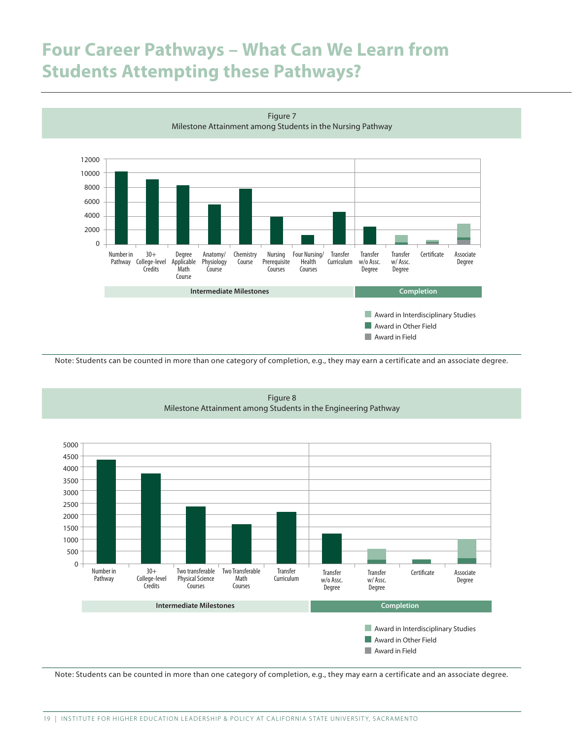## **Four Career Pathways – What Can We Learn from Students Attempting these Pathways?**



Figure 7 Milestone Attainment among Students in the Nursing Pathway

Note: Students can be counted in more than one category of completion, e.g., they may earn a certificate and an associate degree.



Figure 8 Milestone Attainment among Students in the Engineering Pathway

Note: Students can be counted in more than one category of completion, e.g., they may earn a certificate and an associate degree.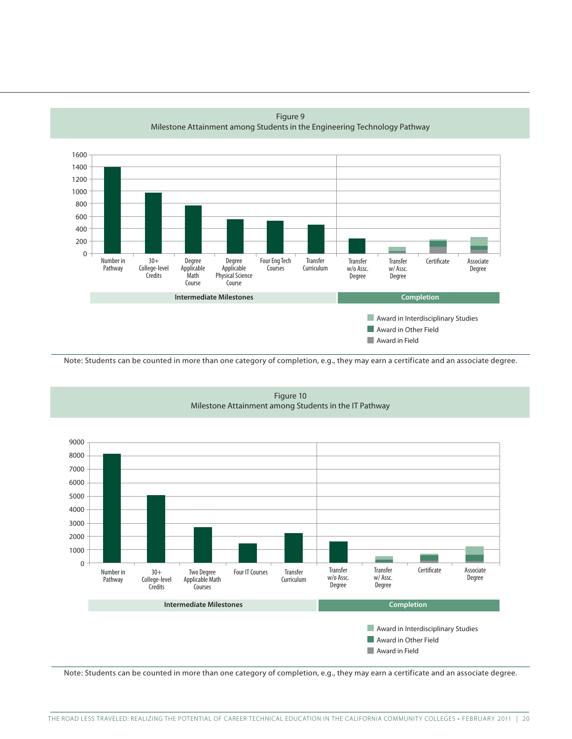

Figure 9 Milestone Attainment among Students in the Engineering Technology Pathway

Note: Students can be counted in more than one category of completion, e.g., they may earn a certificate and an associate degree.



Figure 10 Milestone Attainment among Students in the IT Pathway

Note: Students can be counted in more than one category of completion, e.g., they may earn a certificate and an associate degree.

**Award in Field**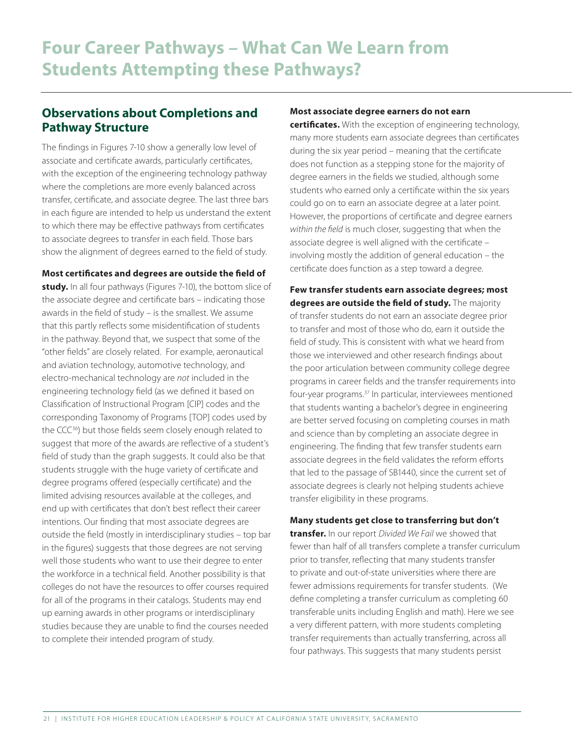### **Observations about Completions and Pathway Structure**

The findings in Figures 7-10 show a generally low level of associate and certificate awards, particularly certificates, with the exception of the engineering technology pathway where the completions are more evenly balanced across transfer, certificate, and associate degree. The last three bars in each figure are intended to help us understand the extent to which there may be effective pathways from certificates to associate degrees to transfer in each field. Those bars show the alignment of degrees earned to the field of study.

**Most certificates and degrees are outside the field of study.** In all four pathways (Figures 7-10), the bottom slice of the associate degree and certificate bars – indicating those awards in the field of study – is the smallest. We assume that this partly reflects some misidentification of students in the pathway. Beyond that, we suspect that some of the "other fields" are closely related. For example, aeronautical and aviation technology, automotive technology, and electro-mechanical technology are *not* included in the engineering technology field (as we defined it based on Classification of Instructional Program [CIP] codes and the corresponding Taxonomy of Programs [TOP] codes used by the CCC<sup>36</sup>) but those fields seem closely enough related to suggest that more of the awards are reflective of a student's field of study than the graph suggests. It could also be that students struggle with the huge variety of certificate and degree programs offered (especially certificate) and the limited advising resources available at the colleges, and end up with certificates that don't best reflect their career intentions. Our finding that most associate degrees are outside the field (mostly in interdisciplinary studies – top bar in the figures) suggests that those degrees are not serving well those students who want to use their degree to enter the workforce in a technical field. Another possibility is that colleges do not have the resources to offer courses required for all of the programs in their catalogs. Students may end up earning awards in other programs or interdisciplinary studies because they are unable to find the courses needed to complete their intended program of study.

#### **Most associate degree earners do not earn**

**certificates.** With the exception of engineering technology, many more students earn associate degrees than certificates during the six year period – meaning that the certificate does not function as a stepping stone for the majority of degree earners in the fields we studied, although some students who earned only a certificate within the six years could go on to earn an associate degree at a later point. However, the proportions of certificate and degree earners *within the field* is much closer, suggesting that when the associate degree is well aligned with the certificate – involving mostly the addition of general education – the certificate does function as a step toward a degree.

**Few transfer students earn associate degrees; most degrees are outside the field of study.** The majority of transfer students do not earn an associate degree prior to transfer and most of those who do, earn it outside the field of study. This is consistent with what we heard from those we interviewed and other research findings about the poor articulation between community college degree programs in career fields and the transfer requirements into four-year programs.37 In particular, interviewees mentioned that students wanting a bachelor's degree in engineering are better served focusing on completing courses in math and science than by completing an associate degree in engineering. The finding that few transfer students earn associate degrees in the field validates the reform efforts that led to the passage of SB1440, since the current set of associate degrees is clearly not helping students achieve transfer eligibility in these programs.

#### **Many students get close to transferring but don't**

**transfer.** In our report *Divided We Fail* we showed that fewer than half of all transfers complete a transfer curriculum prior to transfer, reflecting that many students transfer to private and out-of-state universities where there are fewer admissions requirements for transfer students. (We define completing a transfer curriculum as completing 60 transferable units including English and math). Here we see a very different pattern, with more students completing transfer requirements than actually transferring, across all four pathways. This suggests that many students persist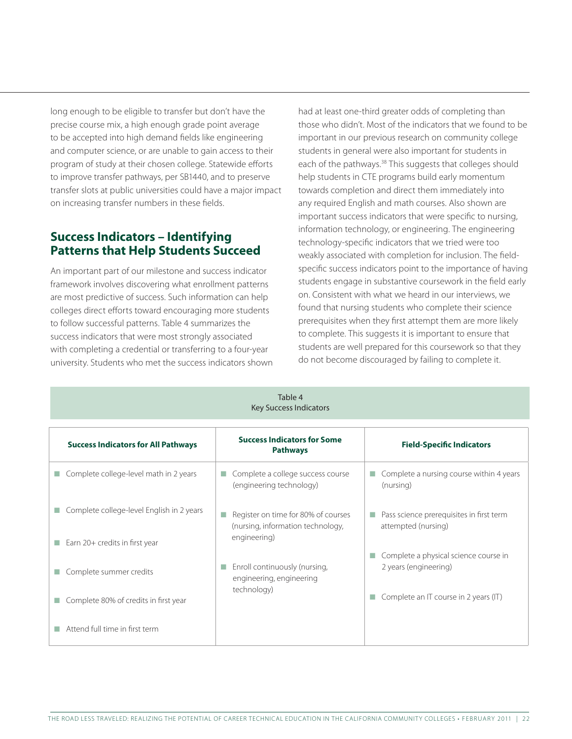long enough to be eligible to transfer but don't have the precise course mix, a high enough grade point average to be accepted into high demand fields like engineering and computer science, or are unable to gain access to their program of study at their chosen college. Statewide efforts to improve transfer pathways, per SB1440, and to preserve transfer slots at public universities could have a major impact on increasing transfer numbers in these fields.

## **Success Indicators – Identifying Patterns that Help Students Succeed**

An important part of our milestone and success indicator framework involves discovering what enrollment patterns are most predictive of success. Such information can help colleges direct efforts toward encouraging more students to follow successful patterns. Table 4 summarizes the success indicators that were most strongly associated with completing a credential or transferring to a four-year university. Students who met the success indicators shown had at least one-third greater odds of completing than those who didn't. Most of the indicators that we found to be important in our previous research on community college students in general were also important for students in each of the pathways.<sup>38</sup> This suggests that colleges should help students in CTE programs build early momentum towards completion and direct them immediately into any required English and math courses. Also shown are important success indicators that were specific to nursing, information technology, or engineering. The engineering technology-specific indicators that we tried were too weakly associated with completion for inclusion. The fieldspecific success indicators point to the importance of having students engage in substantive coursework in the field early on. Consistent with what we heard in our interviews, we found that nursing students who complete their science prerequisites when they first attempt them are more likely to complete. This suggests it is important to ensure that students are well prepared for this coursework so that they do not become discouraged by failing to complete it.

| Table 4<br><b>Key Success Indicators</b>                                    |                                                                                          |                                                                       |  |  |  |
|-----------------------------------------------------------------------------|------------------------------------------------------------------------------------------|-----------------------------------------------------------------------|--|--|--|
| <b>Success Indicators for All Pathways</b>                                  | <b>Success Indicators for Some</b><br><b>Pathways</b>                                    | <b>Field-Specific Indicators</b>                                      |  |  |  |
| Complete college-level math in 2 years                                      | Complete a college success course<br>(engineering technology)                            | Complete a nursing course within 4 years<br>(nursing)                 |  |  |  |
| Complete college-level English in 2 years<br>Earn 20+ credits in first year | Register on time for 80% of courses<br>(nursing, information technology,<br>engineering) | Pass science prerequisites in first term<br>T.<br>attempted (nursing) |  |  |  |
| Complete summer credits                                                     | Enroll continuously (nursing,<br>engineering, engineering                                | Complete a physical science course in<br>H.<br>2 years (engineering)  |  |  |  |
| Complete 80% of credits in first year                                       | technology)                                                                              | Complete an IT course in 2 years (IT)<br>Ш                            |  |  |  |
| Attend full time in first term                                              |                                                                                          |                                                                       |  |  |  |

THE ROAD LESS TRAVELED: REALIZING THE POTENTIAL OF CAREER TECHNICAL EDUCATION IN THE CALIFORNIA COMMUNITY COLLEGES • FEBRUARY 2011 | 22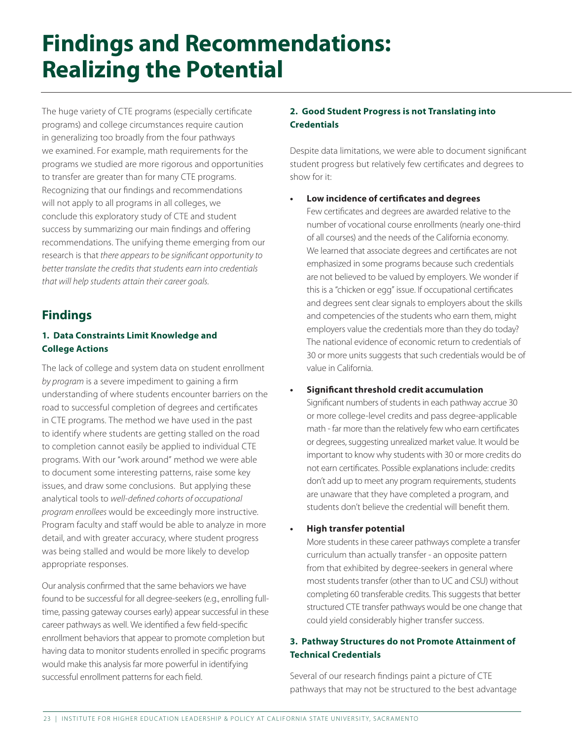## **Findings and Recommendations: Realizing the Potential**

The huge variety of CTE programs (especially certificate programs) and college circumstances require caution in generalizing too broadly from the four pathways we examined. For example, math requirements for the programs we studied are more rigorous and opportunities to transfer are greater than for many CTE programs. Recognizing that our findings and recommendations will not apply to all programs in all colleges, we conclude this exploratory study of CTE and student success by summarizing our main findings and offering recommendations. The unifying theme emerging from our research is that *there appears to be significant opportunity to better translate the credits that students earn into credentials that will help students attain their career goals.* 

## **Findings**

#### **1. Data Constraints Limit Knowledge and College Actions**

The lack of college and system data on student enrollment *by program* is a severe impediment to gaining a firm understanding of where students encounter barriers on the road to successful completion of degrees and certificates in CTE programs. The method we have used in the past to identify where students are getting stalled on the road to completion cannot easily be applied to individual CTE programs. With our "work around" method we were able to document some interesting patterns, raise some key issues, and draw some conclusions. But applying these analytical tools to *well-defined cohorts of occupational program enrollees* would be exceedingly more instructive. Program faculty and staff would be able to analyze in more detail, and with greater accuracy, where student progress was being stalled and would be more likely to develop appropriate responses.

Our analysis confirmed that the same behaviors we have found to be successful for all degree-seekers (e.g., enrolling fulltime, passing gateway courses early) appear successful in these career pathways as well. We identified a few field-specific enrollment behaviors that appear to promote completion but having data to monitor students enrolled in specific programs would make this analysis far more powerful in identifying successful enrollment patterns for each field.

#### **2. Good Student Progress is not Translating into Credentials**

Despite data limitations, we were able to document significant student progress but relatively few certificates and degrees to show for it:

#### **• Low incidence of certificates and degrees**

Few certificates and degrees are awarded relative to the number of vocational course enrollments (nearly one-third of all courses) and the needs of the California economy. We learned that associate degrees and certificates are not emphasized in some programs because such credentials are not believed to be valued by employers. We wonder if this is a "chicken or egg" issue. If occupational certificates and degrees sent clear signals to employers about the skills and competencies of the students who earn them, might employers value the credentials more than they do today? The national evidence of economic return to credentials of 30 or more units suggests that such credentials would be of value in California.

#### **• Significant threshold credit accumulation**

Significant numbers of students in each pathway accrue 30 or more college-level credits and pass degree-applicable math - far more than the relatively few who earn certificates or degrees, suggesting unrealized market value. It would be important to know why students with 30 or more credits do not earn certificates. Possible explanations include: credits don't add up to meet any program requirements, students are unaware that they have completed a program, and students don't believe the credential will benefit them.

#### **High transfer potential**

More students in these career pathways complete a transfer curriculum than actually transfer - an opposite pattern from that exhibited by degree-seekers in general where most students transfer (other than to UC and CSU) without completing 60 transferable credits. This suggests that better structured CTE transfer pathways would be one change that could yield considerably higher transfer success.

#### **3. Pathway Structures do not Promote Attainment of Technical Credentials**

Several of our research findings paint a picture of CTE pathways that may not be structured to the best advantage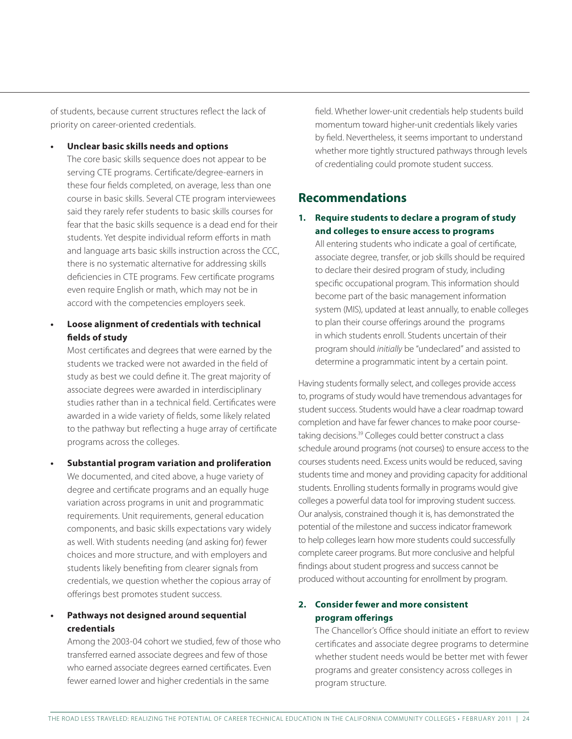of students, because current structures reflect the lack of priority on career-oriented credentials.

**• Unclear basic skills needs and options**

The core basic skills sequence does not appear to be serving CTE programs. Certificate/degree-earners in these four fields completed, on average, less than one course in basic skills. Several CTE program interviewees said they rarely refer students to basic skills courses for fear that the basic skills sequence is a dead end for their students. Yet despite individual reform efforts in math and language arts basic skills instruction across the CCC, there is no systematic alternative for addressing skills deficiencies in CTE programs. Few certificate programs even require English or math, which may not be in accord with the competencies employers seek.

**Loose alignment of credentials with technical fields of study**

Most certificates and degrees that were earned by the students we tracked were not awarded in the field of study as best we could define it. The great majority of associate degrees were awarded in interdisciplinary studies rather than in a technical field. Certificates were awarded in a wide variety of fields, some likely related to the pathway but reflecting a huge array of certificate programs across the colleges.

**Substantial program variation and proliferation** We documented, and cited above, a huge variety of degree and certificate programs and an equally huge variation across programs in unit and programmatic requirements. Unit requirements, general education components, and basic skills expectations vary widely as well. With students needing (and asking for) fewer choices and more structure, and with employers and students likely benefiting from clearer signals from credentials, we question whether the copious array of offerings best promotes student success.

#### **Pathways not designed around sequential credentials**

Among the 2003-04 cohort we studied, few of those who transferred earned associate degrees and few of those who earned associate degrees earned certificates. Even fewer earned lower and higher credentials in the same

field. Whether lower-unit credentials help students build momentum toward higher-unit credentials likely varies by field. Nevertheless, it seems important to understand whether more tightly structured pathways through levels of credentialing could promote student success.

### **Recommendations**

#### **1. Require students to declare a program of study and colleges to ensure access to programs**

All entering students who indicate a goal of certificate, associate degree, transfer, or job skills should be required to declare their desired program of study, including specific occupational program. This information should become part of the basic management information system (MIS), updated at least annually, to enable colleges to plan their course offerings around the programs in which students enroll. Students uncertain of their program should *initially* be "undeclared" and assisted to determine a programmatic intent by a certain point.

Having students formally select, and colleges provide access to, programs of study would have tremendous advantages for student success. Students would have a clear roadmap toward completion and have far fewer chances to make poor coursetaking decisions.<sup>39</sup> Colleges could better construct a class schedule around programs (not courses) to ensure access to the courses students need. Excess units would be reduced, saving students time and money and providing capacity for additional students. Enrolling students formally in programs would give colleges a powerful data tool for improving student success. Our analysis, constrained though it is, has demonstrated the potential of the milestone and success indicator framework to help colleges learn how more students could successfully complete career programs. But more conclusive and helpful findings about student progress and success cannot be produced without accounting for enrollment by program.

#### **2. Consider fewer and more consistent program offerings**

The Chancellor's Office should initiate an effort to review certificates and associate degree programs to determine whether student needs would be better met with fewer programs and greater consistency across colleges in program structure.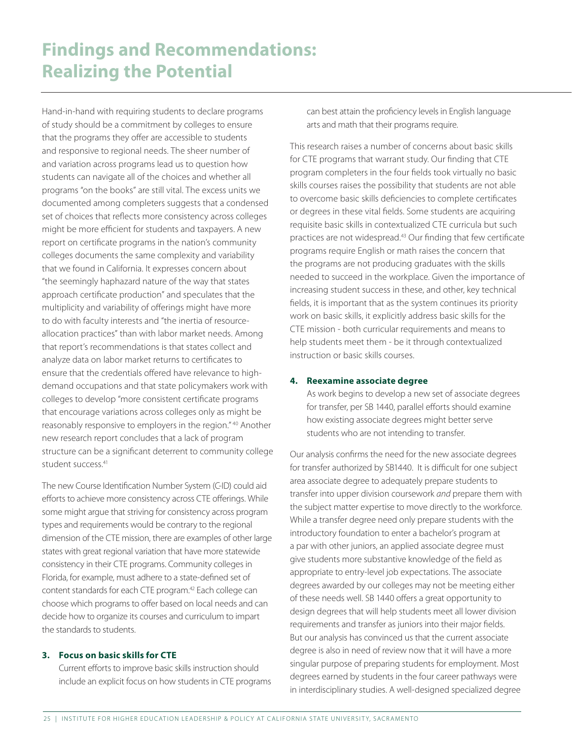Hand-in-hand with requiring students to declare programs of study should be a commitment by colleges to ensure that the programs they offer are accessible to students and responsive to regional needs. The sheer number of and variation across programs lead us to question how students can navigate all of the choices and whether all programs "on the books" are still vital. The excess units we documented among completers suggests that a condensed set of choices that reflects more consistency across colleges might be more efficient for students and taxpayers. A new report on certificate programs in the nation's community colleges documents the same complexity and variability that we found in California. It expresses concern about "the seemingly haphazard nature of the way that states approach certificate production" and speculates that the multiplicity and variability of offerings might have more to do with faculty interests and "the inertia of resourceallocation practices" than with labor market needs. Among that report's recommendations is that states collect and analyze data on labor market returns to certificates to ensure that the credentials offered have relevance to highdemand occupations and that state policymakers work with colleges to develop "more consistent certificate programs that encourage variations across colleges only as might be reasonably responsive to employers in the region." 40 Another new research report concludes that a lack of program structure can be a significant deterrent to community college student success.<sup>41</sup>

The new Course Identification Number System (C-ID) could aid efforts to achieve more consistency across CTE offerings. While some might argue that striving for consistency across program types and requirements would be contrary to the regional dimension of the CTE mission, there are examples of other large states with great regional variation that have more statewide consistency in their CTE programs. Community colleges in Florida, for example, must adhere to a state-defined set of content standards for each CTE program.<sup>42</sup> Each college can choose which programs to offer based on local needs and can decide how to organize its courses and curriculum to impart the standards to students.

#### **3. Focus on basic skills for CTE**

Current efforts to improve basic skills instruction should include an explicit focus on how students in CTE programs can best attain the proficiency levels in English language arts and math that their programs require.

This research raises a number of concerns about basic skills for CTE programs that warrant study. Our finding that CTE program completers in the four fields took virtually no basic skills courses raises the possibility that students are not able to overcome basic skills deficiencies to complete certificates or degrees in these vital fields. Some students are acquiring requisite basic skills in contextualized CTE curricula but such practices are not widespread.43 Our finding that few certificate programs require English or math raises the concern that the programs are not producing graduates with the skills needed to succeed in the workplace. Given the importance of increasing student success in these, and other, key technical fields, it is important that as the system continues its priority work on basic skills, it explicitly address basic skills for the CTE mission - both curricular requirements and means to help students meet them - be it through contextualized instruction or basic skills courses.

#### **4. Reexamine associate degree**

As work begins to develop a new set of associate degrees for transfer, per SB 1440, parallel efforts should examine how existing associate degrees might better serve students who are not intending to transfer.

Our analysis confirms the need for the new associate degrees for transfer authorized by SB1440. It is difficult for one subject area associate degree to adequately prepare students to transfer into upper division coursework *and* prepare them with the subject matter expertise to move directly to the workforce. While a transfer degree need only prepare students with the introductory foundation to enter a bachelor's program at a par with other juniors, an applied associate degree must give students more substantive knowledge of the field as appropriate to entry-level job expectations. The associate degrees awarded by our colleges may not be meeting either of these needs well. SB 1440 offers a great opportunity to design degrees that will help students meet all lower division requirements and transfer as juniors into their major fields. But our analysis has convinced us that the current associate degree is also in need of review now that it will have a more singular purpose of preparing students for employment. Most degrees earned by students in the four career pathways were in interdisciplinary studies. A well-designed specialized degree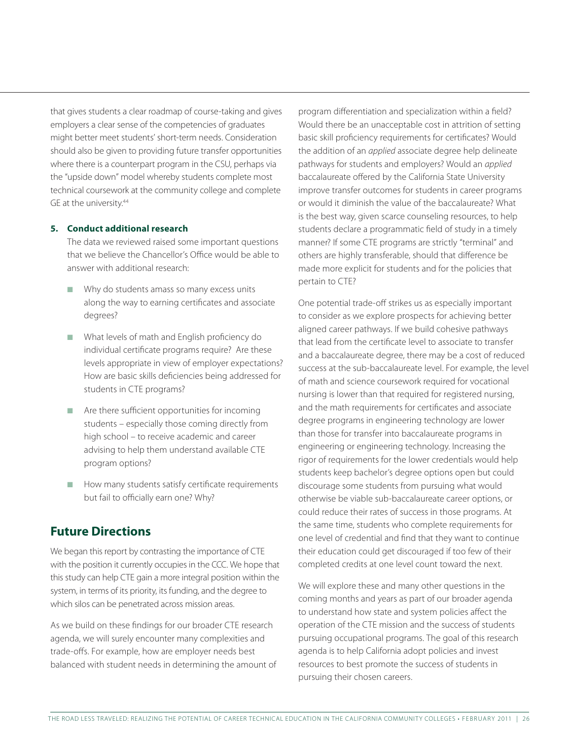that gives students a clear roadmap of course-taking and gives employers a clear sense of the competencies of graduates might better meet students' short-term needs. Consideration should also be given to providing future transfer opportunities where there is a counterpart program in the CSU, perhaps via the "upside down" model whereby students complete most technical coursework at the community college and complete GE at the university.<sup>44</sup>

#### **5. Conduct additional research**

The data we reviewed raised some important questions that we believe the Chancellor's Office would be able to answer with additional research:

- $\blacksquare$  Why do students amass so many excess units along the way to earning certificates and associate degrees?
- $\blacksquare$  What levels of math and English proficiency do individual certificate programs require? Are these levels appropriate in view of employer expectations? How are basic skills deficiencies being addressed for students in CTE programs?
- $\blacksquare$  Are there sufficient opportunities for incoming students – especially those coming directly from high school – to receive academic and career advising to help them understand available CTE program options?
- $\blacksquare$  How many students satisfy certificate requirements but fail to officially earn one? Why?

### **Future Directions**

We began this report by contrasting the importance of CTE with the position it currently occupies in the CCC. We hope that this study can help CTE gain a more integral position within the system, in terms of its priority, its funding, and the degree to which silos can be penetrated across mission areas.

As we build on these findings for our broader CTE research agenda, we will surely encounter many complexities and trade-offs. For example, how are employer needs best balanced with student needs in determining the amount of

program differentiation and specialization within a field? Would there be an unacceptable cost in attrition of setting basic skill proficiency requirements for certificates? Would the addition of an *applied* associate degree help delineate pathways for students and employers? Would an *applied* baccalaureate offered by the California State University improve transfer outcomes for students in career programs or would it diminish the value of the baccalaureate? What is the best way, given scarce counseling resources, to help students declare a programmatic field of study in a timely manner? If some CTE programs are strictly "terminal" and others are highly transferable, should that difference be made more explicit for students and for the policies that pertain to CTE?

One potential trade-off strikes us as especially important to consider as we explore prospects for achieving better aligned career pathways. If we build cohesive pathways that lead from the certificate level to associate to transfer and a baccalaureate degree, there may be a cost of reduced success at the sub-baccalaureate level. For example, the level of math and science coursework required for vocational nursing is lower than that required for registered nursing, and the math requirements for certificates and associate degree programs in engineering technology are lower than those for transfer into baccalaureate programs in engineering or engineering technology. Increasing the rigor of requirements for the lower credentials would help students keep bachelor's degree options open but could discourage some students from pursuing what would otherwise be viable sub-baccalaureate career options, or could reduce their rates of success in those programs. At the same time, students who complete requirements for one level of credential and find that they want to continue their education could get discouraged if too few of their completed credits at one level count toward the next.

We will explore these and many other questions in the coming months and years as part of our broader agenda to understand how state and system policies affect the operation of the CTE mission and the success of students pursuing occupational programs. The goal of this research agenda is to help California adopt policies and invest resources to best promote the success of students in pursuing their chosen careers.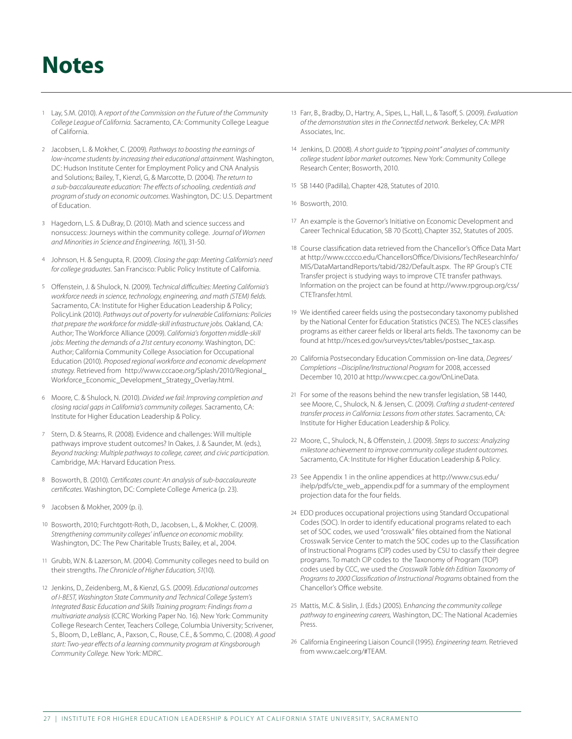## **Notes**

- 1 Lay, S.M. (2010). A *report of the Commission on the Future of the Community College League of California.* Sacramento, CA: Community College League of California.
- 2 Jacobsen, L. & Mokher, C. (2009). *Pathways to boosting the earnings of low-income students by increasing their educational attainment.* Washington, DC: Hudson Institute Center for Employment Policy and CNA Analysis and Solutions; Bailey, T., Kienzl, G, & Marcotte, D. (2004). *The return to a sub-baccalaureate education: The effects of schooling, credentials and program of study on economic outcomes.* Washington, DC: U.S. Department of Education.
- 3 Hagedorn, L.S. & DuBray, D. (2010). Math and science success and nonsuccess: Journeys within the community college. *Journal of Women and Minorities in Science and Engineering, 16*(1), 31-50.
- 4 Johnson, H. & Sengupta, R. (2009). *Closing the gap: Meeting California's need for college graduates.* San Francisco: Public Policy Institute of California.
- 5 Offenstein, J. & Shulock, N. (2009). T*echnical difficulties: Meeting California's workforce needs in science, technology, engineering, and math (STEM) fields.*  Sacramento, CA: Institute for Higher Education Leadership & Policy; PolicyLink (2010). *Pathways out of poverty for vulnerable Californians: Policies that prepare the workforce for middle-skill infrastructure jobs.* Oakland, CA: Author; The Workforce Alliance (2009). *California's forgotten middle-skill jobs: Meeting the demands of a 21st century economy.* Washington, DC: Author; California Community College Association for Occupational Education (2010). *Proposed regional workforce and economic development strategy.* Retrieved from http://www.cccaoe.org/Splash/2010/Regional\_ Workforce\_Economic\_Development\_Strategy\_Overlay.html.
- 6 Moore, C. & Shulock, N. (2010). *Divided we fail: Improving completion and closing racial gaps in California's community colleges*. Sacramento, CA: Institute for Higher Education Leadership & Policy.
- 7 Stern, D. & Stearns, R. (2008). Evidence and challenges: Will multiple pathways improve student outcomes? In Oakes, J. & Saunder, M. (eds.), *Beyond tracking: Multiple pathways to college, career, and civic participation.* Cambridge, MA: Harvard Education Press.
- 8 Bosworth, B. (2010). *Certificates count: An analysis of sub-baccalaureate certificates.* Washington, DC: Complete College America (p. 23).
- 9 Jacobsen & Mokher, 2009 (p. i).
- 10 Bosworth, 2010; Furchtgott-Roth, D., Jacobsen, L., & Mokher, C. (2009). *Strengthening community colleges' influence on economic mobility.* Washington, DC: The Pew Charitable Trusts; Bailey, et al., 2004.
- 11 Grubb, W.N. & Lazerson, M. (2004). Community colleges need to build on their strengths. *The Chronicle of Higher Education, 51*(10).
- 12 Jenkins, D., Zeidenberg, M., & Kienzl, G.S. (2009). *Educational outcomes of I-BEST, Washington State Community and Technical College System's Integrated Basic Education and Skills Training program: Findings from a multivariate analysis* (CCRC Working Paper No. 16). New York: Community College Research Center, Teachers College, Columbia University; Scrivener, S., Bloom, D., LeBlanc, A., Paxson, C., Rouse, C.E., & Sommo, C. (2008). *A good start: Two-year effects of a learning community program at Kingsborough Community College.* New York: MDRC.
- 13 Farr, B., Bradby, D., Hartry, A., Sipes, L., Hall, L., & Tasoff, S. (2009). *Evaluation of the demonstration sites in the ConnectEd network.* Berkeley, CA: MPR Associates, Inc.
- 14 Jenkins, D. (2008). *A short guide to "tipping point" analyses of community college student labor market outcomes.* New York: Community College Research Center; Bosworth, 2010.
- 15 SB 1440 (Padilla), Chapter 428, Statutes of 2010.
- 16 Bosworth, 2010.
- 17 An example is the Governor's Initiative on Economic Development and Career Technical Education, SB 70 (Scott), Chapter 352, Statutes of 2005.
- 18 Course classification data retrieved from the Chancellor's Office Data Mart at http://www.cccco.edu/ChancellorsOffice/Divisions/TechResearchInfo/ MIS/DataMartandReports/tabid/282/Default.aspx. The RP Group's CTE Transfer project is studying ways to improve CTE transfer pathways. Information on the project can be found at http://www.rpgroup.org/css/ CTETransfer.html.
- 19 We identified career fields using the postsecondary taxonomy published by the National Center for Education Statistics (NCES). The NCES classifies programs as either career fields or liberal arts fields. The taxonomy can be found at http://nces.ed.gov/surveys/ctes/tables/postsec\_tax.asp.
- 20 California Postsecondary Education Commission on-line data, *Degrees/ Completions –Discipline/Instructional Program* for 2008, accessed December 10, 2010 at http://www.cpec.ca.gov/OnLineData.
- 21 For some of the reasons behind the new transfer legislation, SB 1440, see Moore, C., Shulock, N. & Jensen, C. (2009). *Crafting a student-centered transfer process in California: Lessons from other states.* Sacramento, CA: Institute for Higher Education Leadership & Policy.
- 22 Moore, C., Shulock, N., & Offenstein, J. (2009). *Steps to success: Analyzing milestone achievement to improve community college student outcomes.*  Sacramento, CA: Institute for Higher Education Leadership & Policy.
- 23 See Appendix 1 in the online appendices at http://www.csus.edu/ ihelp/pdfs/cte\_web\_appendix.pdf for a summary of the employment projection data for the four fields.
- 24 EDD produces occupational projections using Standard Occupational Codes (SOC). In order to identify educational programs related to each set of SOC codes, we used "crosswalk" files obtained from the National Crosswalk Service Center to match the SOC codes up to the Classification of Instructional Programs (CIP) codes used by CSU to classify their degree programs. To match CIP codes to the Taxonomy of Program (TOP) codes used by CCC, we used the *Crosswalk Table 6th Edition Taxonomy of Programs to 2000 Classification of Instructional Programs* obtained from the Chancellor's Office website.
- 25 Mattis, M.C. & Sislin, J. (Eds.) (2005). E*nhancing the community college pathway to engineering careers,* Washington, DC: The National Academies Press.
- 26 California Engineering Liaison Council (1995)*. Engineering team.* Retrieved from www.caelc.org/#TEAM.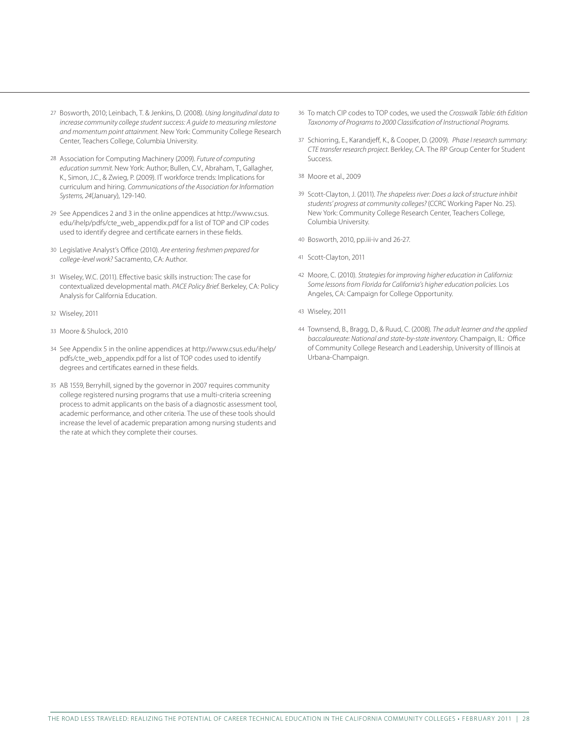- 27 Bosworth, 2010; Leinbach, T. & Jenkins, D. (2008). *Using longitudinal data to increase community college student success: A guide to measuring milestone and momentum point attainment.* New York: Community College Research Center, Teachers College, Columbia University.
- 28 Association for Computing Machinery (2009). *Future of computing education summit.* New York: Author; Bullen, C.V., Abraham, T., Gallagher, K., Simon, J.C., & Zwieg, P. (2009). IT workforce trends: Implications for curriculum and hiring. *Communications of the Association for Information Systems, 24*(January), 129-140.
- 29 See Appendices 2 and 3 in the online appendices at http://www.csus. edu/ihelp/pdfs/cte\_web\_appendix.pdf for a list of TOP and CIP codes used to identify degree and certificate earners in these fields.
- 30 Legislative Analyst's Office (2010). *Are entering freshmen prepared for college-level work?* Sacramento, CA: Author.
- 31 Wiseley, W.C. (2011). Effective basic skills instruction: The case for contextualized developmental math. *PACE Policy Brief.* Berkeley, CA: Policy Analysis for California Education.
- 32 Wiseley, 2011
- 33 Moore & Shulock, 2010
- 34 See Appendix 5 in the online appendices at http://www.csus.edu/ihelp/ pdfs/cte\_web\_appendix.pdf for a list of TOP codes used to identify degrees and certificates earned in these fields.
- 35 AB 1559, Berryhill, signed by the governor in 2007 requires community college registered nursing programs that use a multi-criteria screening process to admit applicants on the basis of a diagnostic assessment tool, academic performance, and other criteria. The use of these tools should increase the level of academic preparation among nursing students and the rate at which they complete their courses.
- 36 To match CIP codes to TOP codes, we used the *Crosswalk Table: 6th Edition Taxonomy of Programs to 2000 Classification of Instructional Programs.*
- 37 Schiorring, E., Karandjeff, K., & Cooper, D. (2009). *Phase I research summary: CTE transfer research project.* Berkley, CA. The RP Group Center for Student Success.
- 38 Moore et al., 2009
- 39 Scott-Clayton, J. (2011). *The shapeless river: Does a lack of structure inhibit students' progress at community colleges?* (CCRC Working Paper No. 25). New York: Community College Research Center, Teachers College, Columbia University.
- 40 Bosworth, 2010, pp.iii-iv and 26-27.
- 41 Scott-Clayton, 2011
- 42 Moore, C. (2010). *Strategies for improving higher education in California: Some lessons from Florida for California's higher education policies.* Los Angeles, CA: Campaign for College Opportunity.
- 43 Wiseley, 2011
- 44 Townsend, B., Bragg, D., & Ruud, C. (2008). *The adult learner and the applied baccalaureate: National and state-by-state inventory.* Champaign, IL: Office of Community College Research and Leadership, University of Illinois at Urbana-Champaign.